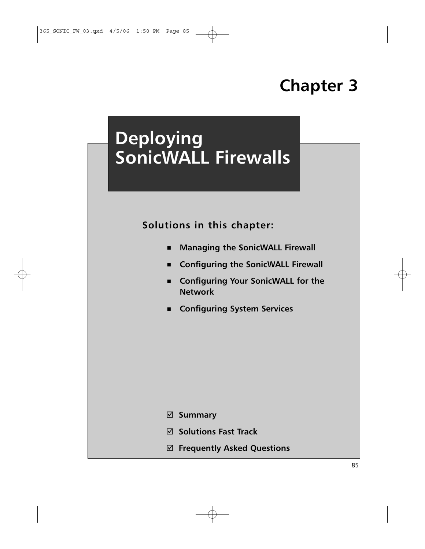# **Chapter 3**

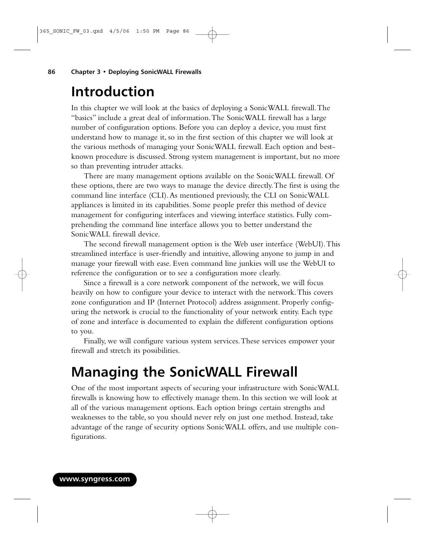# **Introduction**

In this chapter we will look at the basics of deploying a SonicWALL firewall.The "basics" include a great deal of information.The SonicWALL firewall has a large number of configuration options. Before you can deploy a device, you must first understand how to manage it, so in the first section of this chapter we will look at the various methods of managing your SonicWALL firewall. Each option and bestknown procedure is discussed. Strong system management is important, but no more so than preventing intruder attacks.

There are many management options available on the SonicWALL firewall. Of these options, there are two ways to manage the device directly.The first is using the command line interface (CLI).As mentioned previously, the CLI on SonicWALL appliances is limited in its capabilities. Some people prefer this method of device management for configuring interfaces and viewing interface statistics. Fully comprehending the command line interface allows you to better understand the SonicWALL firewall device.

The second firewall management option is the Web user interface (WebUI).This streamlined interface is user-friendly and intuitive, allowing anyone to jump in and manage your firewall with ease. Even command line junkies will use the WebUI to reference the configuration or to see a configuration more clearly.

Since a firewall is a core network component of the network, we will focus heavily on how to configure your device to interact with the network.This covers zone configuration and IP (Internet Protocol) address assignment. Properly configuring the network is crucial to the functionality of your network entity. Each type of zone and interface is documented to explain the different configuration options to you.

Finally, we will configure various system services.These services empower your firewall and stretch its possibilities.

# **Managing the SonicWALL Firewall**

One of the most important aspects of securing your infrastructure with SonicWALL firewalls is knowing how to effectively manage them. In this section we will look at all of the various management options. Each option brings certain strengths and weaknesses to the table, so you should never rely on just one method. Instead, take advantage of the range of security options SonicWALL offers, and use multiple configurations.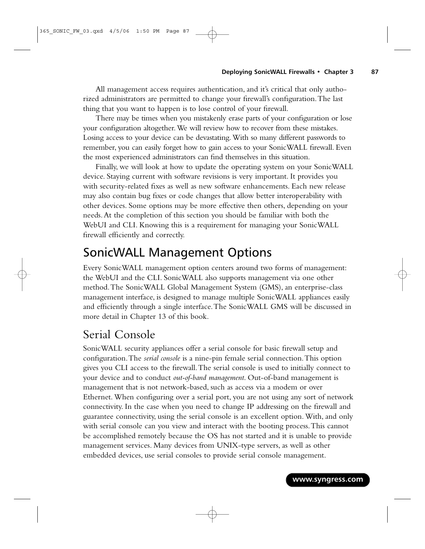All management access requires authentication, and it's critical that only authorized administrators are permitted to change your firewall's configuration.The last thing that you want to happen is to lose control of your firewall.

There may be times when you mistakenly erase parts of your configuration or lose your configuration altogether.We will review how to recover from these mistakes. Losing access to your device can be devastating.With so many different passwords to remember, you can easily forget how to gain access to your SonicWALL firewall. Even the most experienced administrators can find themselves in this situation.

Finally, we will look at how to update the operating system on your SonicWALL device. Staying current with software revisions is very important. It provides you with security-related fixes as well as new software enhancements. Each new release may also contain bug fixes or code changes that allow better interoperability with other devices. Some options may be more effective then others, depending on your needs.At the completion of this section you should be familiar with both the WebUI and CLI. Knowing this is a requirement for managing your SonicWALL firewall efficiently and correctly.

### SonicWALL Management Options

Every SonicWALL management option centers around two forms of management: the WebUI and the CLI. SonicWALL also supports management via one other method.The SonicWALL Global Management System (GMS), an enterprise-class management interface, is designed to manage multiple SonicWALL appliances easily and efficiently through a single interface.The SonicWALL GMS will be discussed in more detail in Chapter 13 of this book.

### Serial Console

SonicWALL security appliances offer a serial console for basic firewall setup and configuration.The *serial console* is a nine-pin female serial connection.This option gives you CLI access to the firewall.The serial console is used to initially connect to your device and to conduct *out-of-band management*. Out-of-band management is management that is not network-based, such as access via a modem or over Ethernet. When configuring over a serial port, you are not using any sort of network connectivity. In the case when you need to change IP addressing on the firewall and guarantee connectivity, using the serial console is an excellent option. With, and only with serial console can you view and interact with the booting process.This cannot be accomplished remotely because the OS has not started and it is unable to provide management services. Many devices from UNIX-type servers, as well as other embedded devices, use serial consoles to provide serial console management.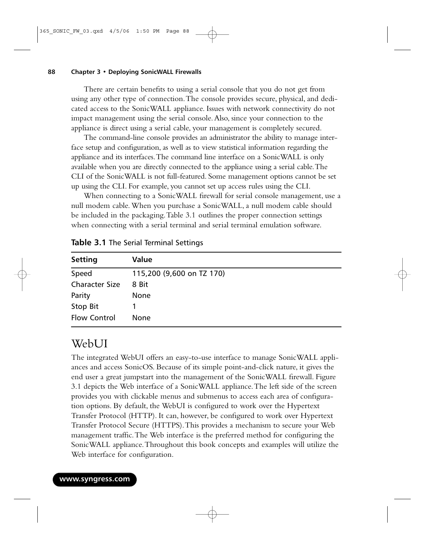There are certain benefits to using a serial console that you do not get from using any other type of connection.The console provides secure, physical, and dedicated access to the SonicWALL appliance. Issues with network connectivity do not impact management using the serial console.Also, since your connection to the appliance is direct using a serial cable, your management is completely secured.

The command-line console provides an administrator the ability to manage interface setup and configuration, as well as to view statistical information regarding the appliance and its interfaces.The command line interface on a SonicWALL is only available when you are directly connected to the appliance using a serial cable.The CLI of the SonicWALL is not full-featured. Some management options cannot be set up using the CLI. For example, you cannot set up access rules using the CLI.

When connecting to a SonicWALL firewall for serial console management, use a null modem cable. When you purchase a SonicWALL, a null modem cable should be included in the packaging.Table 3.1 outlines the proper connection settings when connecting with a serial terminal and serial terminal emulation software.

| <b>Setting</b> | Value                     |
|----------------|---------------------------|
| Speed          | 115,200 (9,600 on TZ 170) |
| Character Size | 8 Bit                     |
| Parity         | <b>None</b>               |
| Stop Bit       |                           |
| Flow Control   | None                      |

|  |  | Table 3.1 The Serial Terminal Settings |
|--|--|----------------------------------------|
|--|--|----------------------------------------|

#### WebUI

The integrated WebUI offers an easy-to-use interface to manage SonicWALL appliances and access SonicOS. Because of its simple point-and-click nature, it gives the end user a great jumpstart into the management of the SonicWALL firewall. Figure 3.1 depicts the Web interface of a SonicWALL appliance.The left side of the screen provides you with clickable menus and submenus to access each area of configuration options. By default, the WebUI is configured to work over the Hypertext Transfer Protocol (HTTP). It can, however, be configured to work over Hypertext Transfer Protocol Secure (HTTPS).This provides a mechanism to secure your Web management traffic.The Web interface is the preferred method for configuring the SonicWALL appliance.Throughout this book concepts and examples will utilize the Web interface for configuration.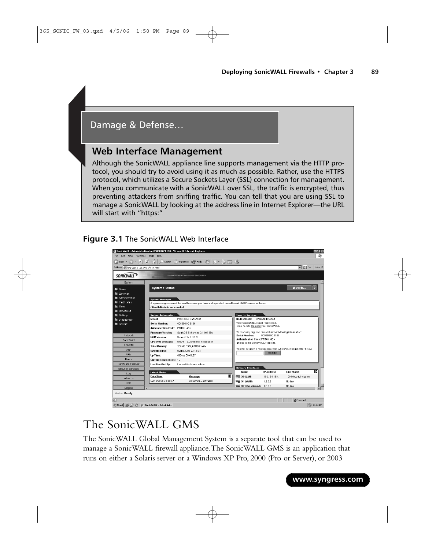#### Damage & Defense…

#### **Web Interface Management**

Although the SonicWALL appliance line supports management via the HTTP protocol, you should try to avoid using it as much as possible. Rather, use the HTTPS protocol, which utilizes a Secure Sockets Layer (SSL) connection for management. When you communicate with a SonicWALL over SSL, the traffic is encrypted, thus preventing attackers from sniffing traffic. You can tell that you are using SSL to manage a SonicWALL by looking at the address line in Internet Explorer—the URL will start with "https:"

#### **Figure 3.1** The SonicWALL Web Interface

| SonicWALL - Administration for 0006B10CB188 - Microsoft Internet Explorer |                                                                        |                                                                                               |   |                                                                |                   |                                                                      | $.  B $ $\times$    |
|---------------------------------------------------------------------------|------------------------------------------------------------------------|-----------------------------------------------------------------------------------------------|---|----------------------------------------------------------------|-------------------|----------------------------------------------------------------------|---------------------|
| View Favorites Tools Help<br>Edit<br>File                                 |                                                                        |                                                                                               |   |                                                                |                   |                                                                      | lle                 |
| $\left(\frac{M}{2}\right)$<br>Back $ (-)$                                 | $\left  \begin{array}{c} \mathbf{c} \\ \mathbf{c} \end{array} \right $ | Search Sy Favorites A Media 8 8 8 3 日 谷                                                       |   |                                                                |                   |                                                                      |                     |
| Address @ http://192.168.168.1/main.html                                  |                                                                        |                                                                                               |   |                                                                |                   | $\overline{\blacksquare}$ $\Rightarrow$ Go                           | Links <sup>33</sup> |
| <b>SONICWALL</b>                                                          |                                                                        | <b>COMPREHENSIVE INTERNET SECURITY®</b>                                                       |   |                                                                |                   |                                                                      |                     |
|                                                                           |                                                                        |                                                                                               |   |                                                                |                   |                                                                      |                     |
| System                                                                    |                                                                        |                                                                                               |   |                                                                |                   |                                                                      |                     |
| Status                                                                    | System > Status                                                        |                                                                                               |   |                                                                |                   | Wizards                                                              | 7                   |
| <b>B</b> ILLICADSAS                                                       |                                                                        |                                                                                               |   |                                                                |                   |                                                                      |                     |
| <b>R</b> Administration                                                   |                                                                        |                                                                                               |   |                                                                |                   |                                                                      |                     |
| <b>B</b> Certificates                                                     | <b>System Messages</b>                                                 | . Log messages cannot be sent because you have not specified an outbound SMTP server address. |   |                                                                |                   |                                                                      |                     |
| 图 Time                                                                    | Stealth Mode is not enabled                                            |                                                                                               |   |                                                                |                   |                                                                      |                     |
| <b>R</b> Schedules                                                        |                                                                        |                                                                                               |   |                                                                |                   |                                                                      |                     |
| <b>But Settings</b>                                                       | <b>System Information</b>                                              |                                                                                               |   | <b>Security Services</b>                                       |                   |                                                                      |                     |
| <b>ft Diagnostics</b>                                                     | Model:                                                                 | PRO 3060 Enhanced                                                                             |   | Nodes/Users: Unlimited Nodes                                   |                   |                                                                      |                     |
| <b>图 Restart</b>                                                          | <b>Serial Number:</b>                                                  | 0006B10CB188                                                                                  |   | Your SonicWALL is not registered.                              |                   |                                                                      |                     |
|                                                                           | <b>Authentication Code:</b>                                            | PRT6-H4SN                                                                                     |   | Click here to Register your SonicWALL.                         |                   |                                                                      |                     |
|                                                                           | <b>Firmware Version:</b>                                               | SonicOS Enhanced 3.1.0.5-86e                                                                  |   | To manually register, remember the following information:      |                   |                                                                      |                     |
| Network                                                                   | <b>ROM Version:</b>                                                    | SonicROM 2.0.1.3                                                                              |   | <b>Serial Number:</b><br><b>Authentication Code: PRT6-H4SN</b> | 0006B10CB188      |                                                                      |                     |
| <b>SonicPoint</b>                                                         | CPU (10s average):                                                     | 0.00% - 2.0GHz Intel Processor                                                                |   | and go to the SonicWALL Web site.                              |                   |                                                                      |                     |
| Firewall                                                                  | <b>Total Memory:</b>                                                   | 256MB RAM, 64MB Flash                                                                         |   |                                                                |                   |                                                                      |                     |
| VoIP                                                                      | <b>System Time:</b>                                                    | 02/10/2006 22:41:04                                                                           |   |                                                                | Update            | You will be given a registration code, which you should enter below: |                     |
| <b>VPN</b>                                                                | <b>Up Time:</b>                                                        | 0 Days 00:01:27                                                                               |   |                                                                |                   |                                                                      |                     |
| <b>Users</b>                                                              | <b>Current Connections: 18</b>                                         |                                                                                               |   |                                                                |                   |                                                                      |                     |
| Hardware Failover                                                         | Last Modified By:                                                      | Unmodified since reboot                                                                       |   |                                                                |                   |                                                                      |                     |
| Security Services                                                         |                                                                        |                                                                                               |   | <b>Network Interfaces</b>                                      |                   |                                                                      |                     |
| Log                                                                       | <b>Latest Alerts</b>                                                   |                                                                                               |   | Name                                                           | <b>IP Address</b> | <b>Link Status</b>                                                   | в                   |
| Wizards                                                                   | <b>Date/Time</b>                                                       | <b>Message</b>                                                                                | Ð | <b>SEE XO (LAN)</b>                                            | 192.168.168.1     | 100 Mbps full-duplex                                                 |                     |
| Help                                                                      | 02/10/2006 22:39:57                                                    | SonicWALL activated                                                                           |   | X1 (WAN)                                                       | 1.2.3.2           | No link                                                              |                     |
| Logout                                                                    |                                                                        |                                                                                               |   | EM X2 (Unassigned) ∩∩∩∩                                        |                   | No link                                                              |                     |
| <b>Status: Ready</b>                                                      |                                                                        |                                                                                               |   |                                                                |                   |                                                                      |                     |
|                                                                           |                                                                        |                                                                                               |   |                                                                |                   |                                                                      |                     |
| æΪ                                                                        |                                                                        |                                                                                               |   |                                                                |                   | <b>D</b> Internet                                                    |                     |
| Start @ @ @ SonicWALL - Administ                                          |                                                                        |                                                                                               |   |                                                                |                   |                                                                      | 图 10:44 PM          |

### The SonicWALL GMS

The SonicWALL Global Management System is a separate tool that can be used to manage a SonicWALL firewall appliance.The SonicWALL GMS is an application that runs on either a Solaris server or a Windows XP Pro, 2000 (Pro or Server), or 2003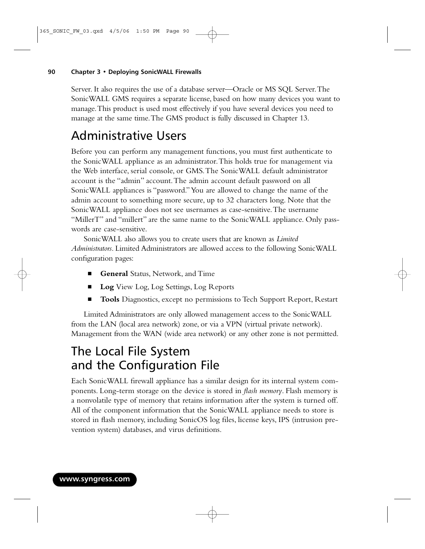Server. It also requires the use of a database server—Oracle or MS SQL Server.The SonicWALL GMS requires a separate license, based on how many devices you want to manage.This product is used most effectively if you have several devices you need to manage at the same time.The GMS product is fully discussed in Chapter 13.

# Administrative Users

Before you can perform any management functions, you must first authenticate to the SonicWALL appliance as an administrator.This holds true for management via the Web interface, serial console, or GMS.The SonicWALL default administrator account is the "admin" account.The admin account default password on all SonicWALL appliances is "password."You are allowed to change the name of the admin account to something more secure, up to 32 characters long. Note that the SonicWALL appliance does not see usernames as case-sensitive.The username "MillerT" and "millert" are the same name to the SonicWALL appliance. Only passwords are case-sensitive.

SonicWALL also allows you to create users that are known as *Limited Administrators*. Limited Administrators are allowed access to the following SonicWALL configuration pages:

- **General** Status, Network, and Time
- **Log** View Log, Log Settings, Log Reports
- **Tools** Diagnostics, except no permissions to Tech Support Report, Restart

Limited Administrators are only allowed management access to the SonicWALL from the LAN (local area network) zone, or via a VPN (virtual private network). Management from the WAN (wide area network) or any other zone is not permitted.

# The Local File System and the Configuration File

Each SonicWALL firewall appliance has a similar design for its internal system components. Long-term storage on the device is stored in *flash memory*. Flash memory is a nonvolatile type of memory that retains information after the system is turned off. All of the component information that the SonicWALL appliance needs to store is stored in flash memory, including SonicOS log files, license keys, IPS (intrusion prevention system) databases, and virus definitions.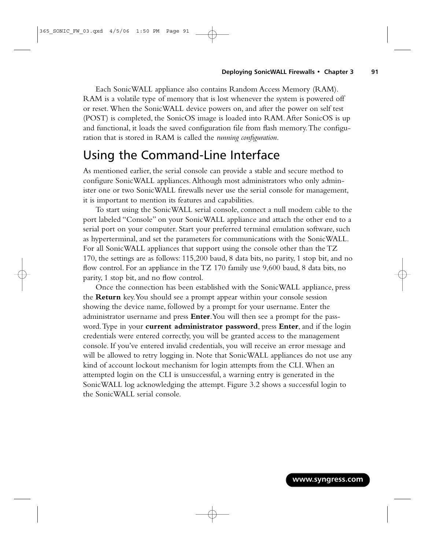Each SonicWALL appliance also contains Random Access Memory (RAM). RAM is a volatile type of memory that is lost whenever the system is powered off or reset. When the SonicWALL device powers on, and after the power on self test (POST) is completed, the SonicOS image is loaded into RAM.After SonicOS is up and functional, it loads the saved configuration file from flash memory.The configuration that is stored in RAM is called the *running configuration*.

### Using the Command-Line Interface

As mentioned earlier, the serial console can provide a stable and secure method to configure SonicWALL appliances.Although most administrators who only administer one or two SonicWALL firewalls never use the serial console for management, it is important to mention its features and capabilities.

To start using the SonicWALL serial console, connect a null modem cable to the port labeled "Console" on your SonicWALL appliance and attach the other end to a serial port on your computer. Start your preferred terminal emulation software, such as hyperterminal, and set the parameters for communications with the SonicWALL. For all SonicWALL appliances that support using the console other than the TZ 170, the settings are as follows: 115,200 baud, 8 data bits, no parity, 1 stop bit, and no flow control. For an appliance in the TZ 170 family use 9,600 baud, 8 data bits, no parity, 1 stop bit, and no flow control.

Once the connection has been established with the SonicWALL appliance, press the **Return** key.You should see a prompt appear within your console session showing the device name, followed by a prompt for your username. Enter the administrator username and press **Enter**.You will then see a prompt for the password.Type in your **current administrator password**, press **Enter**, and if the login credentials were entered correctly, you will be granted access to the management console. If you've entered invalid credentials, you will receive an error message and will be allowed to retry logging in. Note that SonicWALL appliances do not use any kind of account lockout mechanism for login attempts from the CLI. When an attempted login on the CLI is unsuccessful, a warning entry is generated in the SonicWALL log acknowledging the attempt. Figure 3.2 shows a successful login to the SonicWALL serial console.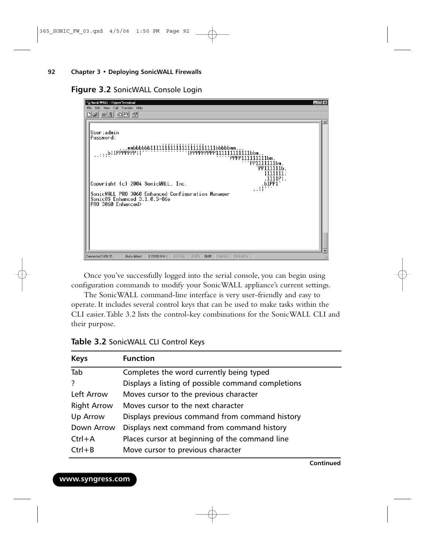**Figure 3.2** SonicWALL Console Login



Once you've successfully logged into the serial console, you can begin using configuration commands to modify your SonicWALL appliance's current settings.

The SonicWALL command-line interface is very user-friendly and easy to operate. It includes several control keys that can be used to make tasks within the CLI easier.Table 3.2 lists the control-key combinations for the SonicWALL CLI and their purpose.

|  | Table 3.2 SonicWALL CLI Control Keys |  |  |  |
|--|--------------------------------------|--|--|--|
|--|--------------------------------------|--|--|--|

| <b>Keys</b>        | <b>Function</b>                                    |
|--------------------|----------------------------------------------------|
| Tab                | Completes the word currently being typed           |
| 7                  | Displays a listing of possible command completions |
| Left Arrow         | Moves cursor to the previous character             |
| <b>Right Arrow</b> | Moves cursor to the next character                 |
| Up Arrow           | Displays previous command from command history     |
| Down Arrow         | Displays next command from command history         |
| $Ctrl + A$         | Places cursor at beginning of the command line     |
| $Ctrl + B$         | Move cursor to previous character                  |

#### **www.syngress.com**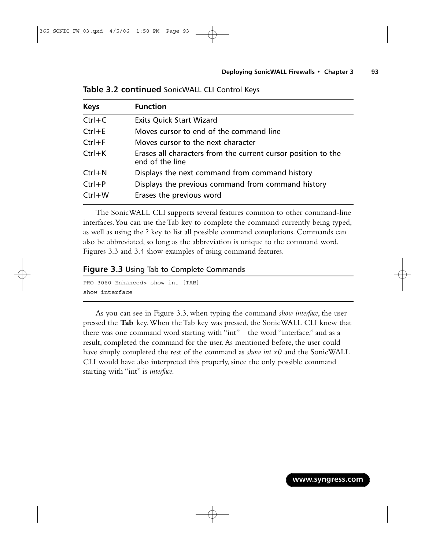| <b>Keys</b> | <b>Function</b>                                                                  |
|-------------|----------------------------------------------------------------------------------|
| $Ctrl + C$  | <b>Exits Quick Start Wizard</b>                                                  |
| $Ctrl + E$  | Moves cursor to end of the command line                                          |
| $Ctrl + F$  | Moves cursor to the next character                                               |
| $Ctrl + K$  | Erases all characters from the current cursor position to the<br>end of the line |
| $Ctrl + N$  | Displays the next command from command history                                   |
| $Ctrl + P$  | Displays the previous command from command history                               |
| $Ctrl+W$    | Erases the previous word                                                         |

**Table 3.2 continued** SonicWALL CLI Control Keys

The SonicWALL CLI supports several features common to other command-line interfaces.You can use the Tab key to complete the command currently being typed, as well as using the ? key to list all possible command completions. Commands can also be abbreviated, so long as the abbreviation is unique to the command word. Figures 3.3 and 3.4 show examples of using command features.

#### **Figure 3.3** Using Tab to Complete Commands

PRO 3060 Enhanced> show int [TAB] show interface

As you can see in Figure 3.3, when typing the command *show interface*, the user pressed the **Tab** key. When the Tab key was pressed, the SonicWALL CLI knew that there was one command word starting with "int"—the word "interface," and as a result, completed the command for the user.As mentioned before, the user could have simply completed the rest of the command as *show int x0* and the SonicWALL CLI would have also interpreted this properly, since the only possible command starting with "int" is *interface*.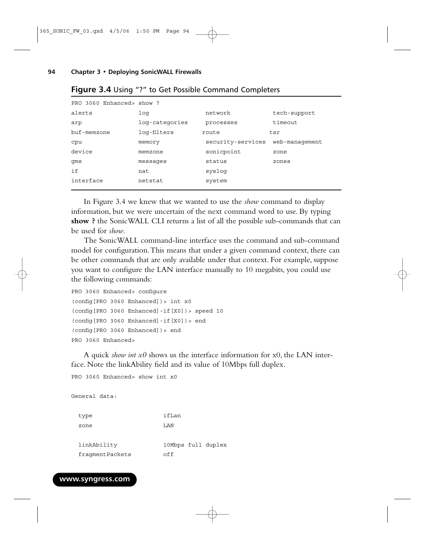| PRO 3060 Enhanced> show ? |                |                   |                |
|---------------------------|----------------|-------------------|----------------|
| alerts                    | log            | network           | tech-support   |
| arp                       | log-categories | processes         | timeout        |
| buf-memzone               | log-filters    | route             | tsr            |
| cpu                       | memory         | security-services | web-management |
| device                    | memzone        | sonicpoint        | zone           |
| qms                       | messages       | status            | zones          |
| if                        | nat.           | syslog            |                |
| interface                 | netstat        | system            |                |
|                           |                |                   |                |

**Figure 3.4** Using "?" to Get Possible Command Completers

In Figure 3.4 we knew that we wanted to use the *show* command to display information, but we were uncertain of the next command word to use. By typing **show ?** the SonicWALL CLI returns a list of all the possible sub-commands that can be used for *show*.

The SonicWALL command-line interface uses the command and sub-command model for configuration.This means that under a given command context, there can be other commands that are only available under that context. For example, suppose you want to configure the LAN interface manually to 10 megabits, you could use the following commands:

```
PRO 3060 Enhanced> configure
(config[PRO 3060 Enhanced])> int x0
(config[PRO 3060 Enhanced]-if[X0])> speed 10
(config[PRO 3060 Enhanced]-if[X0])> end
(config[PRO 3060 Enhanced])> end
PRO 3060 Enhanced>
```
A quick *show int x0* shows us the interface information for x0, the LAN interface. Note the linkAbility field and its value of 10Mbps full duplex.

PRO 3060 Enhanced> show int x0

General data:

| type            | ifLan              |
|-----------------|--------------------|
| zone            | LAN                |
| linkAbility     | 10Mbps full duplex |
| fragmentPackets | off                |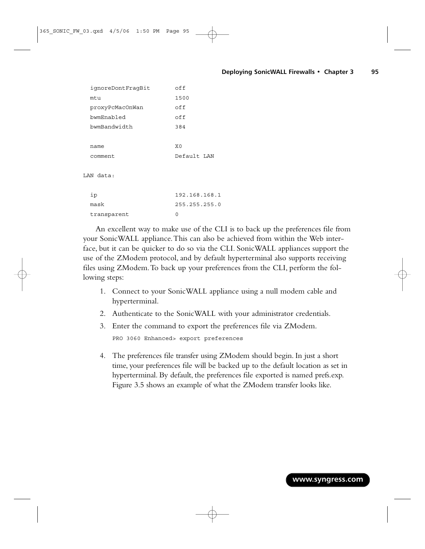| ignoreDontFragBit | off           |
|-------------------|---------------|
| mtu               | 1500          |
| proxyPcMacOnWan   | off           |
| bwmEnabled        | off           |
| bwmBandwidth      | 384           |
|                   |               |
| name              | X0            |
| comment           | Default LAN   |
|                   |               |
| LAN data:         |               |
|                   |               |
| ip                | 192.168.168.1 |
| mask              | 255.255.255.0 |
| transparent       | 0             |

An excellent way to make use of the CLI is to back up the preferences file from your SonicWALL appliance.This can also be achieved from within the Web interface, but it can be quicker to do so via the CLI. SonicWALL appliances support the use of the ZModem protocol, and by default hyperterminal also supports receiving files using ZModem.To back up your preferences from the CLI, perform the following steps:

- 1. Connect to your SonicWALL appliance using a null modem cable and hyperterminal.
- 2. Authenticate to the SonicWALL with your administrator credentials.
- 3. Enter the command to export the preferences file via ZModem. PRO 3060 Enhanced> export preferences
- 4. The preferences file transfer using ZModem should begin. In just a short time, your preferences file will be backed up to the default location as set in hyperterminal. By default, the preferences file exported is named prefs.exp. Figure 3.5 shows an example of what the ZModem transfer looks like.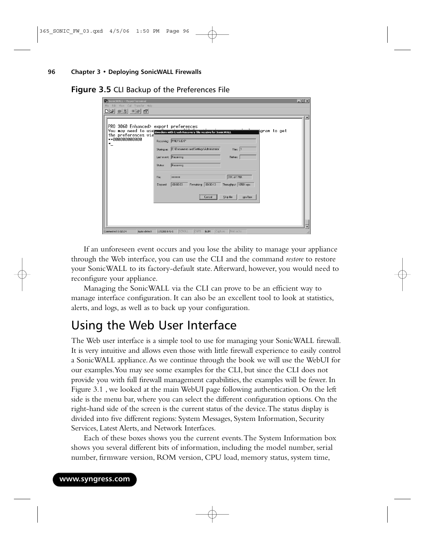#### **Figure 3.5** CLI Backup of the Preferences File

| PRO 3060 Enhanced> export preferences<br>You may need to use zmodem with Crash Recovery file receive for SonicWALL<br>kgram to get<br>the preferences via<br>**00000000000<br>Receiving: PREFS.EXP<br>Storing as: C:\Documents and Settings\Administrator<br>Files: 1<br>Last event: Receiving<br>Retries:<br>Receiving<br>Status:<br>31K of 176K<br>File:<br><b>HILLE</b><br>Throughput: 10581 cps<br>00:00:03<br>Remaining: 00:00:13<br>Elapsed:<br>Cancel<br>Skip file<br>cps/bps | SonicWALL - HyperTerminal<br>File Edit View Call Transfer Help | $ \Box$ $\times$ |
|--------------------------------------------------------------------------------------------------------------------------------------------------------------------------------------------------------------------------------------------------------------------------------------------------------------------------------------------------------------------------------------------------------------------------------------------------------------------------------------|----------------------------------------------------------------|------------------|
|                                                                                                                                                                                                                                                                                                                                                                                                                                                                                      | de - 3 - 1 6                                                   |                  |

If an unforeseen event occurs and you lose the ability to manage your appliance through the Web interface, you can use the CLI and the command *restore* to restore your SonicWALL to its factory-default state.Afterward, however, you would need to reconfigure your appliance.

Managing the SonicWALL via the CLI can prove to be an efficient way to manage interface configuration. It can also be an excellent tool to look at statistics, alerts, and logs, as well as to back up your configuration.

# Using the Web User Interface

The Web user interface is a simple tool to use for managing your SonicWALL firewall. It is very intuitive and allows even those with little firewall experience to easily control a SonicWALL appliance.As we continue through the book we will use the WebUI for our examples.You may see some examples for the CLI, but since the CLI does not provide you with full firewall management capabilities, the examples will be fewer. In Figure 3.1 , we looked at the main WebUI page following authentication. On the left side is the menu bar, where you can select the different configuration options. On the right-hand side of the screen is the current status of the device.The status display is divided into five different regions: System Messages, System Information, Security Services, Latest Alerts, and Network Interfaces.

Each of these boxes shows you the current events.The System Information box shows you several different bits of information, including the model number, serial number, firmware version, ROM version, CPU load, memory status, system time,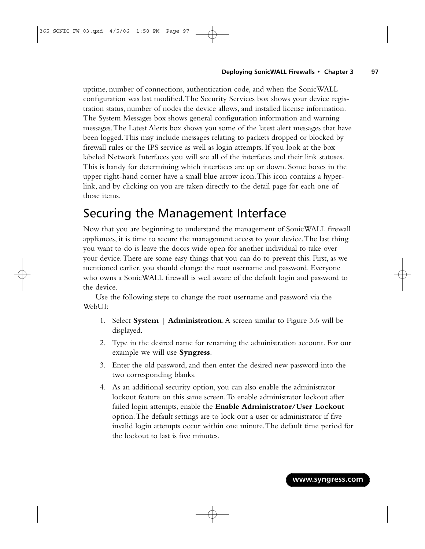uptime, number of connections, authentication code, and when the SonicWALL configuration was last modified.The Security Services box shows your device registration status, number of nodes the device allows, and installed license information. The System Messages box shows general configuration information and warning messages.The Latest Alerts box shows you some of the latest alert messages that have been logged.This may include messages relating to packets dropped or blocked by firewall rules or the IPS service as well as login attempts. If you look at the box labeled Network Interfaces you will see all of the interfaces and their link statuses. This is handy for determining which interfaces are up or down. Some boxes in the upper right-hand corner have a small blue arrow icon.This icon contains a hyperlink, and by clicking on you are taken directly to the detail page for each one of those items.

### Securing the Management Interface

Now that you are beginning to understand the management of SonicWALL firewall appliances, it is time to secure the management access to your device.The last thing you want to do is leave the doors wide open for another individual to take over your device.There are some easy things that you can do to prevent this. First, as we mentioned earlier, you should change the root username and password. Everyone who owns a SonicWALL firewall is well aware of the default login and password to the device.

Use the following steps to change the root username and password via the WebUI:

- 1. Select **System** | **Administration**.A screen similar to Figure 3.6 will be displayed.
- 2. Type in the desired name for renaming the administration account. For our example we will use **Syngress**.
- 3. Enter the old password, and then enter the desired new password into the two corresponding blanks.
- 4. As an additional security option, you can also enable the administrator lockout feature on this same screen.To enable administrator lockout after failed login attempts, enable the **Enable Administrator/User Lockout** option.The default settings are to lock out a user or administrator if five invalid login attempts occur within one minute.The default time period for the lockout to last is five minutes.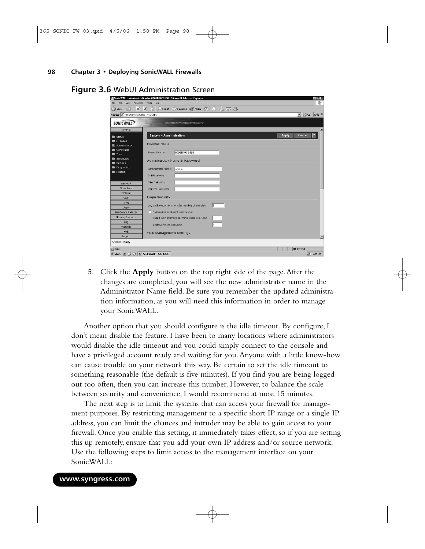#### **Figure 3.6** WebUI Administration Screen

|                                                 | SonicWALL - Administration for 0006B10CB188 - Microsoft Internet Explorer |                                                          |    |              |                           | $-0x$                     |
|-------------------------------------------------|---------------------------------------------------------------------------|----------------------------------------------------------|----|--------------|---------------------------|---------------------------|
| File<br>Edit                                    | View Favorites Tools Help                                                 |                                                          |    |              |                           | 廍                         |
| G<br>$Back - ) -   x  $                         | $\mathbb{Z}$ (a) $\mathbb{C}$                                             | Search < Favorites → Media ④ ☆ こ ■ お                     |    |              |                           |                           |
| Address <b>@</b> http://192.168.168.1/main.html |                                                                           |                                                          |    |              | $\Box$ Go<br>$\mathbf{r}$ | Links <sup>&gt;&gt;</sup> |
| <b>SONICWALL</b>                                |                                                                           | <b>COMPREHENSIVE INTERNET SECURITY<sup>®</sup></b>       |    |              |                           |                           |
| System                                          |                                                                           |                                                          |    |              |                           |                           |
| <b>R</b> Status                                 | System > Administration                                                   |                                                          |    | <b>Apply</b> | $\sqrt{2}$<br>Cancel      |                           |
| <b>R</b> Licenses<br><b>图 Administration</b>    | <b>Firewall Name</b>                                                      |                                                          |    |              |                           |                           |
| <b>ED</b> Certificates<br><b>图 Time</b>         | Firewall Name:                                                            | 0006B10CB18B                                             |    |              |                           |                           |
| <b>for</b> Schedules<br><b>R</b> Settings       | Administrator Name & Password                                             |                                                          |    |              |                           |                           |
| <b>R</b> Diagnostics<br><b>Restart</b>          | Administrator Name:<br>Old Password:                                      | admin                                                    |    |              |                           |                           |
|                                                 |                                                                           |                                                          |    |              |                           |                           |
| <b>Network</b>                                  | New Password:                                                             |                                                          |    |              |                           |                           |
| SonicPoint                                      | Confirm Password:                                                         |                                                          |    |              |                           |                           |
| Firewall                                        |                                                                           |                                                          |    |              |                           |                           |
| VoIP                                            | Login Security                                                            |                                                          |    |              |                           |                           |
| VPN<br>Users                                    |                                                                           | Log out the Administrator after inactivity of (minutes): | 15 |              |                           |                           |
| Hardware Failover                               | Enable Administrator/User Lockout                                         |                                                          |    |              |                           |                           |
| Security Services                               |                                                                           | Failed login attempts per minute before lockout:         |    |              |                           |                           |
| Loq<br>Wizards                                  | Lockout Period (minutes):                                                 |                                                          |    |              |                           |                           |
| Help<br>Logout                                  | Web Management Settings                                                   |                                                          |    |              |                           | $\overline{ }$            |
| <b>Status: Ready</b>                            |                                                                           |                                                          |    |              |                           |                           |
| Done                                            |                                                                           |                                                          |    |              | <b>O</b> Internet         |                           |
| Start 6 (2 C) 6 Sonic WALL - Administ           |                                                                           |                                                          |    |              | 图 2:49 PM                 |                           |

5. Click the **Apply** button on the top right side of the page.After the changes are completed, you will see the new administrator name in the Administrator Name field. Be sure you remember the updated administration information, as you will need this information in order to manage your SonicWALL.

Another option that you should configure is the idle timeout. By configure, I don't mean disable the feature. I have been to many locations where administrators would disable the idle timeout and you could simply connect to the console and have a privileged account ready and waiting for you.Anyone with a little know-how can cause trouble on your network this way. Be certain to set the idle timeout to something reasonable (the default is five minutes). If you find you are being logged out too often, then you can increase this number. However, to balance the scale between security and convenience, I would recommend at most 15 minutes.

The next step is to limit the systems that can access your firewall for management purposes. By restricting management to a specific short IP range or a single IP address, you can limit the chances and intruder may be able to gain access to your firewall. Once you enable this setting, it immediately takes effect, so if you are setting this up remotely, ensure that you add your own IP address and/or source network. Use the following steps to limit access to the management interface on your SonicWALL: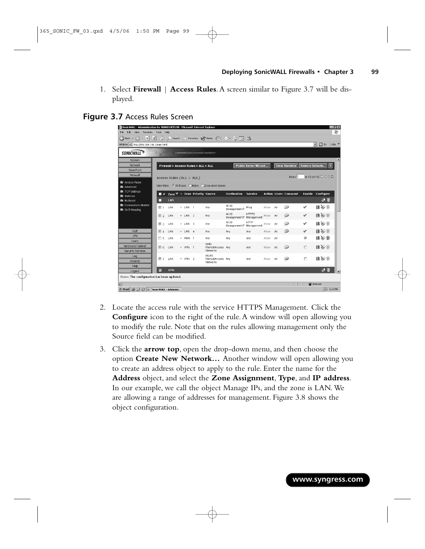1. Select **Firewall** | **Access Rules**.A screen similar to Figure 3.7 will be displayed.

| Figure 3.7 Access Rules Screen |  |  |  |  |
|--------------------------------|--|--|--|--|
|--------------------------------|--|--|--|--|

| SonicWALL - Administration for 0006B10CB188 - Microsoft Internet Explorer                                              |  |            |                          |  |            |                                         |                                                    |                                    |                      |       |     |                             |                         | $-10$ $\times$                 |
|------------------------------------------------------------------------------------------------------------------------|--|------------|--------------------------|--|------------|-----------------------------------------|----------------------------------------------------|------------------------------------|----------------------|-------|-----|-----------------------------|-------------------------|--------------------------------|
| View<br>Favorites<br>File<br>Edit                                                                                      |  | Tools Help |                          |  |            |                                         |                                                    |                                    |                      |       |     |                             |                         | 鄘                              |
| ■ 2 ● O Search ☆ Favorites ● Media ④ ☆ とまる<br>a<br>Back $\bullet$ $\left(\frac{1}{n}\right)$ $\bullet$                 |  |            |                          |  |            |                                         |                                                    |                                    |                      |       |     |                             |                         |                                |
| $\Rightarrow$ Go<br>Address (B) http://192.168.168.1/main.html<br>$\overline{\mathbf{v}}$<br>Links <sup>&gt;&gt;</sup> |  |            |                          |  |            |                                         |                                                    |                                    |                      |       |     |                             |                         |                                |
| <b>SONICWALL</b>                                                                                                       |  |            |                          |  |            | <b>COMPREHENSIVE INTERNET SECURITY®</b> |                                                    |                                    |                      |       |     |                             |                         |                                |
| System                                                                                                                 |  |            |                          |  |            |                                         |                                                    |                                    |                      |       |     |                             |                         |                                |
| <b>Network</b><br>SonicPoint                                                                                           |  |            |                          |  |            | Firewall > Access Rules > ALL > ALL     |                                                    |                                    | Public Server Wizard |       |     | <b>Clear Statistics</b>     |                         | Restore Defaults  ?            |
| Firewall                                                                                                               |  |            | Access Rules (ALL > ALL) |  |            |                                         |                                                    |                                    |                      |       |     | Items <sup>1</sup>          |                         | to 18 (of 18) 図 4 D 図          |
| Access Rules                                                                                                           |  |            |                          |  |            |                                         | View Style: C All Rules C Matrix C Drop-down Boxes |                                    |                      |       |     |                             |                         |                                |
| <b>in</b> Advanced<br><b>Read TCP Settings</b>                                                                         |  |            |                          |  |            |                                         |                                                    |                                    |                      |       |     |                             |                         |                                |
| <b>Services</b>                                                                                                        |  | ■≈         |                          |  |            | $\text{Zone}$ / > Zone Priority Source  |                                                    | <b>Destination</b>                 | Service              |       |     | <b>Action Users Comment</b> |                         | Enable Configure               |
| <b>Read Multicast</b>                                                                                                  |  |            | LAN                      |  |            |                                         |                                                    |                                    |                      |       |     |                             |                         | さ言                             |
| <b>Rue</b> Connections Monitor<br><b>R</b> QoS Mapping                                                                 |  | $\Box$ 1   | LAN                      |  | $> LM - 1$ |                                         | Anv                                                | AII XO<br>Management IP            | Ping                 | Allow | All | ⊜                           | ✔                       | 出沙市                            |
|                                                                                                                        |  | $\Box$ 2   | LAN                      |  | > LAN      | $\overline{2}$                          | Any                                                | AII XO<br>Management IP Management | <b>HTTPS</b>         | Allow | All | ⊜                           | √                       | 血分市                            |
|                                                                                                                        |  | Πз         | LAN                      |  | > LAN      | 3                                       | Any                                                | AII XO<br>Management IP Management | <b>HTTP</b>          | Allow | All | ☜                           | ✔                       | 出分市                            |
| VoIP                                                                                                                   |  | П4         | LAN                      |  | » LAN      | $\frac{4}{3}$                           | Anv                                                | Anv                                | Any                  | Allow | All | ⊜                           | ✔                       | 血分白                            |
| VPN                                                                                                                    |  | $\Box$ 5   | LAN                      |  | > WAN 1    |                                         | Any                                                | Anv                                | Any                  | Allow | All |                             | $\overline{\mathbf{v}}$ | 出分市                            |
| <b>Users</b><br>Hardware Failover<br>Security Services                                                                 |  | $\Box$ 6   | <b>TAN</b>               |  | > VPN 1    |                                         | <b>WAN</b><br>RemoteAccess Any<br>Networks         |                                    | Any                  | Allow | All | ⊜                           | $\Box$                  | 山分享                            |
| Log<br>Wizards                                                                                                         |  | ロッ         | LAN                      |  | $>$ VPN 2  |                                         | WLAN<br>RemoteAccess Any<br>Networks               |                                    | Any                  | Allow | All | ⊜                           | $\Box$                  | 血谷命                            |
| Help<br>Logout                                                                                                         |  | п          | <b>VPN</b>               |  |            |                                         |                                                    |                                    |                      |       |     |                             |                         | と言                             |
| Status: The configuration has been updated.                                                                            |  |            |                          |  |            |                                         |                                                    |                                    |                      |       |     |                             |                         |                                |
| 画<br>Start @ @ @ SonicWALL - Administ                                                                                  |  |            |                          |  |            |                                         |                                                    |                                    |                      |       |     |                             |                         | <b>O</b> Internet<br>图 3:10 PM |

- 2. Locate the access rule with the service HTTPS Management. Click the **Configure** icon to the right of the rule. A window will open allowing you to modify the rule. Note that on the rules allowing management only the Source field can be modified.
- 3. Click the **arrow top**, open the drop-down menu, and then choose the option **Create New Network…** Another window will open allowing you to create an address object to apply to the rule. Enter the name for the **Address** object, and select the **Zone Assignment**, **Type**, and **IP address**. In our example, we call the object Manage IPs, and the zone is LAN. We are allowing a range of addresses for management. Figure 3.8 shows the object configuration.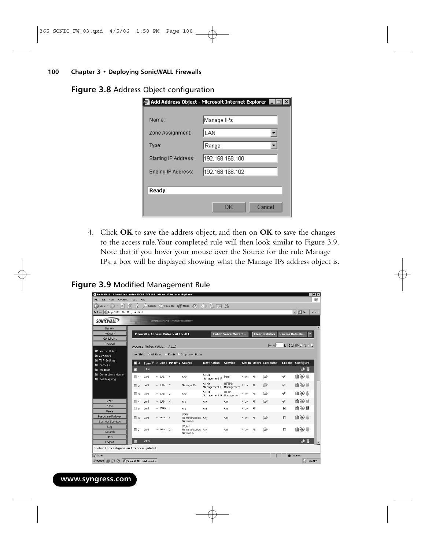**Figure 3.8** Address Object configuration

|                      | Add Address Object - Microsoft Internet Explorer |
|----------------------|--------------------------------------------------|
| Name:                | Manage IPs                                       |
| Zone Assignment:     | LAN                                              |
| Type:                | Range                                            |
| Starting IP Address: | 192.168.168.100                                  |
| Ending IP Address:   | 192.168.168.102                                  |
| Ready                |                                                  |
|                      |                                                  |
|                      | Cancel<br>ΩK                                     |

4. Click **OK** to save the address object, and then on **OK** to save the changes to the access rule.Your completed rule will then look similar to Figure 3.9. Note that if you hover your mouse over the Source for the rule Manage IPs, a box will be displayed showing what the Manage IPs address object is.

#### **Figure 3.9** Modified Management Rule

| SonicWALL - Administration for 0006B10CB188 - Microsoft Internet Explorer<br>Edit View Favorites Tools Help<br>File |  |          |                          |  |             |                                                          |                                                    |                                    |                             |       |     |                             |                         |                         | $-10x$<br>litt            |
|---------------------------------------------------------------------------------------------------------------------|--|----------|--------------------------|--|-------------|----------------------------------------------------------|----------------------------------------------------|------------------------------------|-----------------------------|-------|-----|-----------------------------|-------------------------|-------------------------|---------------------------|
| 2 ① Search <> Favorites → Media ④ ⊗ ↓ → → お<br>$\bigoplus$ Back $\cdot$ $\bigoplus$ $\cdot$ $\mathbb{X}$            |  |          |                          |  |             |                                                          |                                                    |                                    |                             |       |     |                             |                         |                         |                           |
| Address ( http://192.168.168.1/main.html                                                                            |  |          |                          |  |             |                                                          |                                                    |                                    |                             |       |     |                             |                         | $\Box \ni \infty$       | Links <sup>&gt;&gt;</sup> |
| <b>SONICWALL</b>                                                                                                    |  |          |                          |  |             | <b>COMPREHENSIVE INTERNET SECURITY®</b>                  |                                                    |                                    |                             |       |     |                             |                         |                         |                           |
| System                                                                                                              |  |          |                          |  |             |                                                          |                                                    |                                    |                             |       |     |                             |                         |                         |                           |
| Network<br>SonicPoint                                                                                               |  |          |                          |  |             | Firewall > Access Rules > ALL > ALL                      |                                                    |                                    | <b>Public Server Wizard</b> |       |     | <b>Clear Statistics</b>     | <b>Restore Defaults</b> |                         | $\sqrt{2}$                |
| Firewall                                                                                                            |  |          | Access Rules (ALL > ALL) |  |             |                                                          |                                                    |                                    |                             |       |     | Items <sup>1</sup>          |                         | to 18 (of 18) ■ 3 4 D M |                           |
| <b>图 Access Rules</b><br>图 Advanced                                                                                 |  |          |                          |  |             |                                                          | View Style: C All Rules C Matrix C Drop-down Boxes |                                    |                             |       |     |                             |                         |                         |                           |
| <b>RET</b> TCP Settings<br><b>Services</b>                                                                          |  | ■≈       |                          |  |             | $\text{Zone} \ \mathbb{Z} > \text{Zone}$ Priority Source |                                                    | <b>Destination</b>                 | Service                     |       |     | <b>Action Users Comment</b> |                         | <b>Enable Configure</b> |                           |
| <b>Red</b> Multicast                                                                                                |  |          | LAN                      |  |             |                                                          |                                                    |                                    |                             |       |     |                             |                         | いき                      |                           |
| Connections Monitor<br><b>R</b> QoS Mapping                                                                         |  | $\Box$ 1 | LAN                      |  | $>$ LAN 1   |                                                          | Any                                                | All XO<br>Management IP            | Ping                        | Allow | All | ⊜                           | ✔                       | 8 V 8                   |                           |
|                                                                                                                     |  | $\Box$ 2 | LAN                      |  | $>$ LAN 2   |                                                          | Manage IPs                                         | All XO<br>Management IP Management | <b>HTTPS</b>                | Allow | All | ⊜                           | ✔                       | 血分市                     |                           |
|                                                                                                                     |  | $\Box$ 3 | LAN                      |  | > LAN       | - 3                                                      | Anv                                                | All XO<br>Management IP Management | <b>HTTP</b>                 | Allow | All | ⊜                           | ✔                       | 血分白                     |                           |
| VoIP                                                                                                                |  | $\Box$ 4 | LAN                      |  | > LM 4      |                                                          | Any                                                | Any                                | Any                         | Allow | All | ⊜                           | ✔                       | 8 V 18                  |                           |
| VPN<br><b>Users</b>                                                                                                 |  | $\Box$ 5 | LAN                      |  | $>$ WAN 1   |                                                          | Any                                                | Any                                | Any                         | Allow | All |                             | $\overline{\textbf{v}}$ | 8 V 8                   |                           |
| Hardware Failover<br>Security Services                                                                              |  | $\Box$ 6 | LAN                      |  | $>$ VPN 1   |                                                          | WAN<br>RemoteAccess Anv<br>Networks                |                                    | Any                         | Allow | All | ⊜                           | $\Box$                  | 山分市                     |                           |
| Log<br>Wizards.                                                                                                     |  | $\Box$   | LAN                      |  | $>$ VPN $2$ |                                                          | <b>WLAN</b><br>RemoteAccess Any<br><b>Networks</b> |                                    | Any                         | Allow | All | ∞                           | $\Box$                  | 山分市                     |                           |
| Help<br>Logout                                                                                                      |  | П        | <b>VPN</b>               |  |             |                                                          |                                                    |                                    |                             |       |     |                             |                         | 动意                      |                           |
| Status: The configuration has been updated.                                                                         |  |          |                          |  |             |                                                          |                                                    |                                    |                             |       |     |                             |                         |                         |                           |
| e Done<br>Start @ @ @ SonicWALL - Administ                                                                          |  |          |                          |  |             |                                                          |                                                    |                                    |                             |       |     |                             |                         | <b>O</b> Internet       | 图 3:22 PM                 |

**www.syngress.com**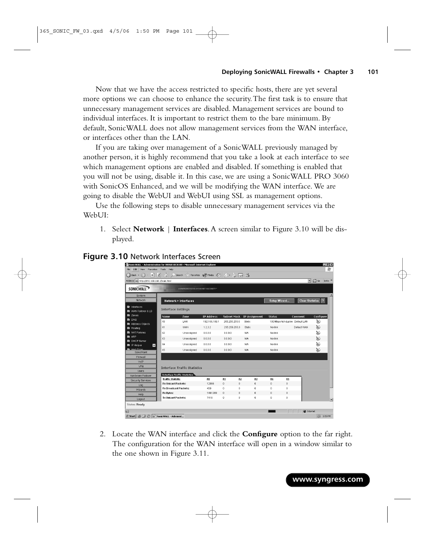Now that we have the access restricted to specific hosts, there are yet several more options we can choose to enhance the security.The first task is to ensure that unnecessary management services are disabled. Management services are bound to individual interfaces. It is important to restrict them to the bare minimum. By default, SonicWALL does not allow management services from the WAN interface, or interfaces other than the LAN.

If you are taking over management of a SonicWALL previously managed by another person, it is highly recommend that you take a look at each interface to see which management options are enabled and disabled. If something is enabled that you will not be using, disable it. In this case, we are using a SonicWALL PRO 3060 with SonicOS Enhanced, and we will be modifying the WAN interface. We are going to disable the WebUI and WebUI using SSL as management options.

Use the following steps to disable unnecessary management services via the WebUI:

1. Select **Network** | **Interfaces**.A screen similar to Figure 3.10 will be displayed.

|                                                             | ø<br>m                     | Search > Favorites → Media ④   只 - <>   2 - <> |                   |                    |                |                      |               |                                  |                                                    |
|-------------------------------------------------------------|----------------------------|------------------------------------------------|-------------------|--------------------|----------------|----------------------|---------------|----------------------------------|----------------------------------------------------|
| Address (a) http://192.168.168.1/main.html                  |                            |                                                |                   |                    |                |                      |               |                                  | $\Box$ Go<br>$\overline{ }$<br>Links <sup>33</sup> |
| <b>SONICWALL</b>                                            |                            | <b>COMPREHENSIVE INTERNET SECURITY®</b>        |                   |                    |                |                      |               |                                  |                                                    |
|                                                             |                            |                                                |                   |                    |                |                      |               |                                  |                                                    |
| System                                                      |                            |                                                |                   |                    |                |                      |               |                                  |                                                    |
| Network.                                                    |                            | <b>Network &gt; Interfaces</b>                 |                   |                    |                |                      | Setup Wizard  |                                  | Clear Statistics ?                                 |
| et Interfaces                                               |                            | <b>Interface Settings</b>                      |                   |                    |                |                      |               |                                  |                                                    |
| <b>for</b> WAN Failover & LB                                |                            |                                                |                   |                    |                |                      |               |                                  |                                                    |
| <b>画 Zones</b>                                              | Name                       | Zone                                           | <b>IP Address</b> | <b>Subnet Mask</b> |                | <b>IP Assignment</b> | <b>Status</b> | Comment                          | Configure                                          |
| <b>B</b> DNS<br><b>Reduces</b> Objects                      | $\times 0$                 | LAN                                            | 192 168 168 1     | 255.255.255.0      | Static         |                      |               | 100 Mbps full-duplex Default LAN | ₩                                                  |
| <b>图 Routing</b>                                            | $\times1$                  | <b>WAN</b>                                     | 1232              | 255 255 255 0      | Static         |                      | No link       |                                  | ≫<br>Default WAN                                   |
| <b>READ NAT Policies</b>                                    | $\times 2$                 | Unassigned                                     | 0.0.0.0           | 0.0.0.0            | <b>N/A</b>     |                      | No link       |                                  | ₩                                                  |
| <b>图 ARP</b>                                                | $\times3$                  | Unassigned                                     | 0.0.0.0           | 0.0.0.0            | <b>N/A</b>     |                      | No link       |                                  | ≫                                                  |
| <b>fts</b> DHCP Server                                      | $\times 4$                 | Unassigned                                     | 0.0.0.0           | 0.0.0.0            | <b>N/A</b>     |                      | No link       |                                  | ₩                                                  |
| <b>R</b> IP Helper<br>$\overline{ }$<br><b>Rt</b> Web Prome |                            |                                                |                   |                    |                |                      |               |                                  |                                                    |
| SonicPoint                                                  | $\times 5$                 | Unassigned                                     | 0.0.0.0           | 0.0.0.0            | <b>N/A</b>     |                      | No link       |                                  | ₩                                                  |
| Firewall                                                    |                            |                                                |                   |                    |                |                      |               |                                  |                                                    |
| VoIP                                                        |                            |                                                |                   |                    |                |                      |               |                                  |                                                    |
| VPN                                                         |                            | <b>Interface Traffic Statistics</b>            |                   |                    |                |                      |               |                                  |                                                    |
| <b>Users</b>                                                |                            |                                                |                   |                    |                |                      |               |                                  |                                                    |
| Hardware Failover                                           | <b>Traffic Statistic</b>   | Interface Traffic Statistics                   | $x_0$             | X <sub>1</sub>     | x <sub>2</sub> | X3                   | <b>X4</b>     | X <sub>5</sub>                   |                                                    |
| Security Services                                           | <b>Rx Unicast Packets:</b> |                                                | 12096             | $\theta$           | $\mathbf{0}$   | $\theta$             | $\theta$      | $\theta$                         |                                                    |
|                                                             |                            | <b>Rx Broadcast Packets:</b>                   | 450               | $\mathbf{0}$       | $\mathbf{0}$   | $\theta$             | 0             | n.                               |                                                    |
| Loq                                                         | <b>Rx Bytes:</b>           |                                                | 1461289           | $\bf{0}$           | $\mathsf{n}$   | $\Omega$             | $\theta$      | $\theta$                         |                                                    |
| Wizards                                                     |                            |                                                |                   | $\bf{0}$           | $\mathbf{0}$   | $\theta$             | $\theta$      | 0                                |                                                    |
| Help<br>Logout                                              | <b>Tx Unicast Packets:</b> |                                                | 7416              |                    |                |                      |               |                                  |                                                    |

#### **Figure 3.10** Network Interfaces Screen

2. Locate the WAN interface and click the **Configure** option to the far right. The configuration for the WAN interface will open in a window similar to the one shown in Figure 3.11.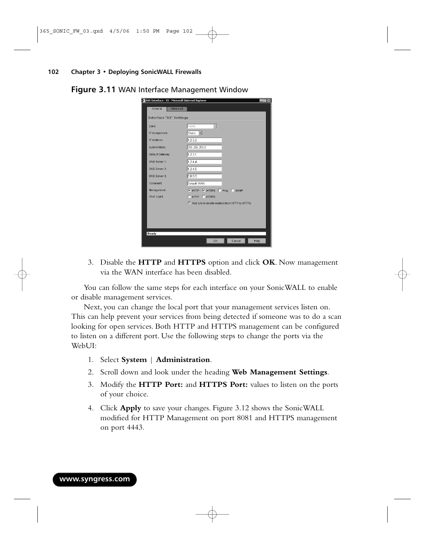| Edit Interface - X1 - Microsoft Internet Explorer |                                                                          | $\times$ |
|---------------------------------------------------|--------------------------------------------------------------------------|----------|
| General<br>Advanced                               |                                                                          |          |
| Interface 'X1' Settings                           |                                                                          |          |
| Zone:                                             | WAN                                                                      |          |
| IP Assignment                                     | Static $\boxed{\mathbf{v}}$                                              |          |
| IP Address:                                       | 1.2.3.2                                                                  |          |
| Subnet Mask:                                      | 255.255.255.0                                                            |          |
| Default Gateway:                                  | 1.2.3.1                                                                  |          |
| DNS Server 1:                                     | 1.2.4.4                                                                  |          |
| DNS Server 2:                                     | 1.2.4.5                                                                  |          |
| DNS Server 3:                                     | 0.0.0.0                                                                  |          |
| Comment:                                          | Default WAN                                                              |          |
| <b>Management:</b>                                | $\triangledown$ HTTP $\triangledown$ HTTPS $\square$ Ping $\square$ SNMP |          |
| User Login:                                       | $\Box$ HTTP $\Box$ HTTPS                                                 |          |
|                                                   | F Add rule to enable redirect from HTTP to HTTPS                         |          |
|                                                   |                                                                          |          |
|                                                   |                                                                          |          |
|                                                   |                                                                          |          |
| Ready                                             |                                                                          |          |
|                                                   | OK<br>Cancel<br>Help                                                     |          |
|                                                   |                                                                          |          |

**Figure 3.11** WAN Interface Management Window

3. Disable the **HTTP** and **HTTPS** option and click **OK**. Now management via the WAN interface has been disabled.

You can follow the same steps for each interface on your SonicWALL to enable or disable management services.

Next, you can change the local port that your management services listen on. This can help prevent your services from being detected if someone was to do a scan looking for open services. Both HTTP and HTTPS management can be configured to listen on a different port. Use the following steps to change the ports via the WebUI:

- 1. Select **System** | **Administration**.
- 2. Scroll down and look under the heading **Web Management Settings**.
- 3. Modify the **HTTP Port:** and **HTTPS Port:** values to listen on the ports of your choice.
- 4. Click **Apply** to save your changes. Figure 3.12 shows the SonicWALL modified for HTTP Management on port 8081 and HTTPS management on port 4443.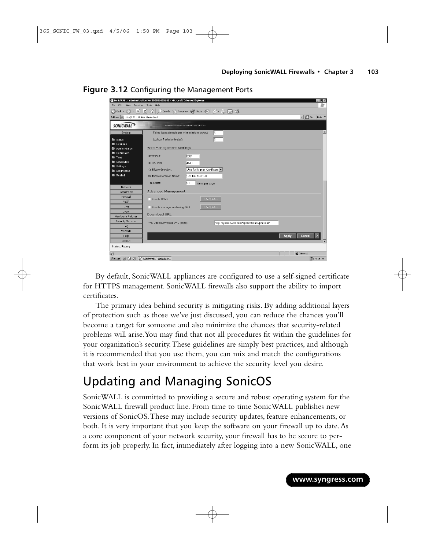|                                                                                 | SonicWALL - Administration for 0006B10CB188 - Microsoft Internet Explorer          | $-10x$                                          |
|---------------------------------------------------------------------------------|------------------------------------------------------------------------------------|-------------------------------------------------|
| View<br>File<br>Edit                                                            | Favorites Tools Help                                                               | llif                                            |
| $\{y_j\}$<br>Back -                                                             | Search & Favorites (Media 3)<br>$ \vec{x} $<br>60                                  |                                                 |
| Address <sup>3</sup> http://192.168.168.1/main.html                             |                                                                                    | $\Box$ $\ominus$ $\circ$<br>Links <sup>33</sup> |
|                                                                                 |                                                                                    |                                                 |
| <b>SONICWALL</b>                                                                | <b>COMPREHENSIVE INTERNET SECURITY®</b>                                            |                                                 |
| System                                                                          | Failed login attempts per minute before lockout:                                   |                                                 |
| <b>Res</b> Status                                                               | Lockout Period (minutes):                                                          |                                                 |
| <b>But Licenses</b>                                                             |                                                                                    |                                                 |
| <b>Administration</b>                                                           | Web Management Settings                                                            |                                                 |
| <b>Report Certificates</b>                                                      | 8081<br>HTTP Port:                                                                 |                                                 |
| <b>R</b> Time                                                                   |                                                                                    |                                                 |
| <b>R</b> Schedules                                                              | 4443<br><b>HTTPS Port</b>                                                          |                                                 |
| <b>fts</b> Settings<br><b>B</b> Diagnostics                                     | Use Selfsigned Certificate<br>Certificate Selection:                               |                                                 |
| <b>龍 Restart</b>                                                                | 192.168.168.168<br>Certificate Common Name:                                        |                                                 |
|                                                                                 |                                                                                    |                                                 |
|                                                                                 | 50<br>Table Size:<br>items per page                                                |                                                 |
| Network                                                                         |                                                                                    |                                                 |
| SonicPoint                                                                      | <b>Advanced Management</b>                                                         |                                                 |
| Firewall                                                                        | Enable SNMP<br>Configure                                                           |                                                 |
| VoIP                                                                            |                                                                                    |                                                 |
| VPN                                                                             | Enable management using GMS<br>Configure                                           |                                                 |
| <b>Users</b>                                                                    | Download URL                                                                       |                                                 |
| Hardware Failover<br>Security Services                                          |                                                                                    |                                                 |
| Log                                                                             | help.mysonicwall.com/applications/vpnclient/<br>VPN Client Download URL (http://): |                                                 |
| Wizards                                                                         |                                                                                    |                                                 |
| <b>Help</b>                                                                     |                                                                                    | Cancel<br><b>Apply</b><br>13                    |
| Logout                                                                          |                                                                                    | ×                                               |
| <b>Status: Ready</b>                                                            |                                                                                    |                                                 |
|                                                                                 |                                                                                    |                                                 |
| 衙                                                                               |                                                                                    | <b>D</b> Internet                               |
| Start $\bigotimes$ $\bigotimes$ $\bigotimes$ $\bigotimes$ Sonic WALL - Administ |                                                                                    | 图 4:15 PM                                       |

#### **Figure 3.12** Configuring the Management Ports

By default, SonicWALL appliances are configured to use a self-signed certificate for HTTPS management. SonicWALL firewalls also support the ability to import certificates.

The primary idea behind security is mitigating risks. By adding additional layers of protection such as those we've just discussed, you can reduce the chances you'll become a target for someone and also minimize the chances that security-related problems will arise.You may find that not all procedures fit within the guidelines for your organization's security.These guidelines are simply best practices, and although it is recommended that you use them, you can mix and match the configurations that work best in your environment to achieve the security level you desire.

# Updating and Managing SonicOS

SonicWALL is committed to providing a secure and robust operating system for the SonicWALL firewall product line. From time to time SonicWALL publishes new versions of SonicOS.These may include security updates, feature enhancements, or both. It is very important that you keep the software on your firewall up to date.As a core component of your network security, your firewall has to be secure to perform its job properly. In fact, immediately after logging into a new SonicWALL, one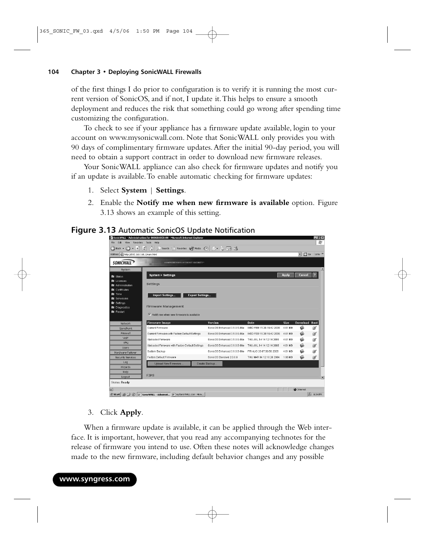of the first things I do prior to configuration is to verify it is running the most current version of SonicOS, and if not, I update it.This helps to ensure a smooth deployment and reduces the risk that something could go wrong after spending time customizing the configuration.

To check to see if your appliance has a firmware update available, login to your account on www.mysonicwall.com. Note that SonicWALL only provides you with 90 days of complimentary firmware updates.After the initial 90-day period, you will need to obtain a support contract in order to download new firmware releases.

Your SonicWALL appliance can also check for firmware updates and notify you if an update is available.To enable automatic checking for firmware updates:

- 1. Select **System** | **Settings**.
- 2. Enable the **Notify me when new firmware is available** option. Figure 3.13 shows an example of this setting.

#### **Figure 3.13** Automatic SonicOS Update Notification

| Address (8) http://192.168.168.1/main.html       |                                                                  | $\boxtimes$ and $\boxtimes$  |                          |              | $\Rightarrow$ Go<br>$\overline{ }$ | Links <sup>33</sup> |
|--------------------------------------------------|------------------------------------------------------------------|------------------------------|--------------------------|--------------|------------------------------------|---------------------|
|                                                  |                                                                  |                              |                          |              |                                    |                     |
| <b>SONICWALL</b>                                 | <b>COMPREHENSIVE INTERNET SECURITY®</b>                          |                              |                          |              |                                    |                     |
| System                                           |                                                                  |                              |                          |              |                                    |                     |
| <b>R</b> Status                                  | <b>System &gt; Settings</b>                                      |                              |                          | <b>Apply</b> | Cancel                             | $\overline{2}$      |
| <b>B</b> Licenses                                | Settings                                                         |                              |                          |              |                                    |                     |
| <b>M</b> Administration<br><b>R</b> Certificates |                                                                  |                              |                          |              |                                    |                     |
| <b>Re</b> Time                                   | <b>Export Settings</b><br>Import Settings                        |                              |                          |              |                                    |                     |
| <b>Schedules</b>                                 |                                                                  |                              |                          |              |                                    |                     |
| <b>图 Settings</b>                                |                                                                  |                              |                          |              |                                    |                     |
| <b>B</b> Diagnostics<br><b>Restart</b>           | Firmware Management                                              |                              |                          |              |                                    |                     |
|                                                  | $\overline{\mathbf{v}}$ Notify me when new firmware is available |                              |                          |              |                                    |                     |
| Network                                          | <b>Firmware Image</b>                                            | Version                      | Date                     | Size         | Download Boot                      |                     |
| SonicPoint                                       | Current Firmware                                                 | SonicOS Enhanced 3.1.0.5-86e | WED FEB 15 20:16:42 2006 | 4 61 MB      | 6                                  | ⊛                   |
| Firewall                                         | Current Firmware with Factory Default Settings                   | SonicOS Enhanced 3.1.0.5-86e | WED FEB 15 20:16:42 2006 | 4.61 MB      | ଈ                                  | C                   |
| VoIP                                             | Uploaded Firmware                                                | SonicOS Enhanced 3.1.0.5-86e | THU JUL 14 14:12:14 2005 | 4.61 MB      | 6                                  | ⊛                   |
| VPN<br><b>Users</b>                              | Uploaded Firmware with Factory Default Settings                  | SonicOS Enhanced 3.1.0.5-86e | THU JUL 14 14:12:14 2005 | 4.61 MB      | ⊛                                  | ⊛                   |
|                                                  | System Backup                                                    | SonicOS Enhanced 3.1.0.5-86e | FRI AUG 26 07:53:56 2005 | 4.61 MB      | ଈ                                  | C                   |
| Hardware Failover                                | Factory Default Firmware                                         | SonicOS Standard 2.0.0.9     | THU MAR 04 12:10:28 2004 | 1.96 MB      | ⊛                                  | ⊛                   |
| Security Services                                |                                                                  | Create Backup                |                          |              |                                    |                     |
| Log                                              |                                                                  |                              |                          |              |                                    |                     |
| Wizards                                          | Upload New Firmware                                              |                              |                          |              |                                    |                     |
| Help<br>Logout                                   | <b>FIPS</b>                                                      |                              |                          |              |                                    |                     |

#### 3. Click **Apply**.

When a firmware update is available, it can be applied through the Web interface. It is important, however, that you read any accompanying technotes for the release of firmware you intend to use. Often these notes will acknowledge changes made to the new firmware, including default behavior changes and any possible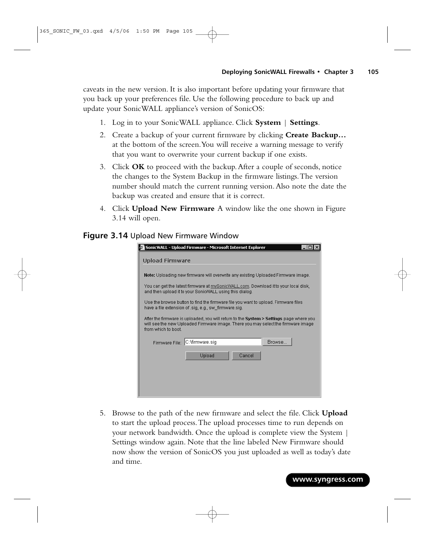caveats in the new version. It is also important before updating your firmware that you back up your preferences file. Use the following procedure to back up and update your SonicWALL appliance's version of SonicOS:

- 1. Log in to your SonicWALL appliance. Click **System** | **Settings**.
- 2. Create a backup of your current firmware by clicking **Create Backup…** at the bottom of the screen.You will receive a warning message to verify that you want to overwrite your current backup if one exists.
- 3. Click **OK** to proceed with the backup.After a couple of seconds, notice the changes to the System Backup in the firmware listings.The version number should match the current running version.Also note the date the backup was created and ensure that it is correct.
- 4. Click **Upload New Firmware** A window like the one shown in Figure 3.14 will open.

#### **Figure 3.14** Upload New Firmware Window

| SonicWALL - Upload Firmware - Microsoft Internet Explorer                                                                                                                                                     |  |  |  |  |  |  |  |  |
|---------------------------------------------------------------------------------------------------------------------------------------------------------------------------------------------------------------|--|--|--|--|--|--|--|--|
| <b>Upload Firmware</b>                                                                                                                                                                                        |  |  |  |  |  |  |  |  |
| <b>Note:</b> Uploading new firmware will overwrite any existing Uploaded Firmware image.                                                                                                                      |  |  |  |  |  |  |  |  |
| You can get the latest firmware at mySonicWALL.com. Download it to your local disk,<br>and then upload it to your SonicWALL using this dialog.                                                                |  |  |  |  |  |  |  |  |
| Use the browse button to find the firmware file you want to upload. Firmware files<br>have a file extension of .sig, e.g., sw_firmware.sig.                                                                   |  |  |  |  |  |  |  |  |
| After the firmware is uploaded, you will return to the <b>System &gt; Settings</b> page where you<br>will see the new Uploaded Firmware image. There you may select the firmware image<br>from which to boot. |  |  |  |  |  |  |  |  |
| C:\firmware.sig<br>Firmware File:<br>Browse -                                                                                                                                                                 |  |  |  |  |  |  |  |  |
| Upload<br>Cancel                                                                                                                                                                                              |  |  |  |  |  |  |  |  |
|                                                                                                                                                                                                               |  |  |  |  |  |  |  |  |
|                                                                                                                                                                                                               |  |  |  |  |  |  |  |  |

5. Browse to the path of the new firmware and select the file. Click **Upload** to start the upload process.The upload processes time to run depends on your network bandwidth. Once the upload is complete view the System | Settings window again. Note that the line labeled New Firmware should now show the version of SonicOS you just uploaded as well as today's date and time.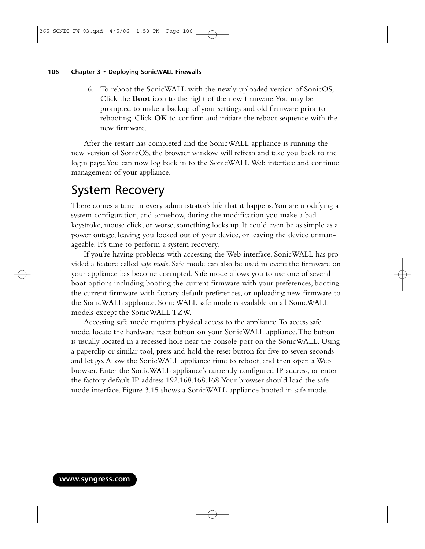6. To reboot the SonicWALL with the newly uploaded version of SonicOS, Click the **Boot** icon to the right of the new firmware.You may be prompted to make a backup of your settings and old firmware prior to rebooting. Click **OK** to confirm and initiate the reboot sequence with the new firmware.

After the restart has completed and the SonicWALL appliance is running the new version of SonicOS, the browser window will refresh and take you back to the login page.You can now log back in to the SonicWALL Web interface and continue management of your appliance.

### System Recovery

There comes a time in every administrator's life that it happens.You are modifying a system configuration, and somehow, during the modification you make a bad keystroke, mouse click, or worse, something locks up. It could even be as simple as a power outage, leaving you locked out of your device, or leaving the device unmanageable. It's time to perform a system recovery.

If you're having problems with accessing the Web interface, SonicWALL has provided a feature called *safe mode*. Safe mode can also be used in event the firmware on your appliance has become corrupted. Safe mode allows you to use one of several boot options including booting the current firmware with your preferences, booting the current firmware with factory default preferences, or uploading new firmware to the SonicWALL appliance. SonicWALL safe mode is available on all SonicWALL models except the SonicWALL TZW.

Accessing safe mode requires physical access to the appliance.To access safe mode, locate the hardware reset button on your SonicWALL appliance.The button is usually located in a recessed hole near the console port on the SonicWALL. Using a paperclip or similar tool, press and hold the reset button for five to seven seconds and let go.Allow the SonicWALL appliance time to reboot, and then open a Web browser. Enter the SonicWALL appliance's currently configured IP address, or enter the factory default IP address 192.168.168.168.Your browser should load the safe mode interface. Figure 3.15 shows a SonicWALL appliance booted in safe mode.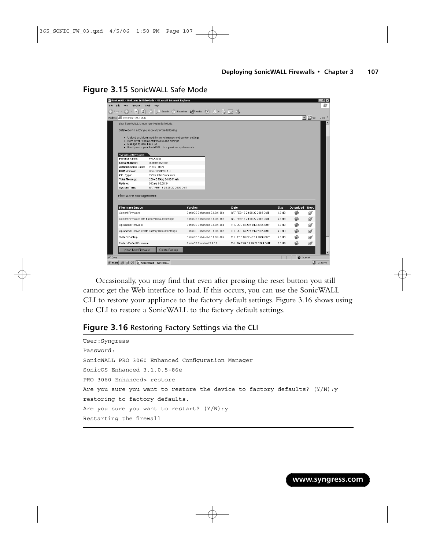#### **Figure 3.15** SonicWALL Safe Mode

| Favorites Tools Help<br>Edit<br><b>View</b> |                                                                                                               | SonicWALL - Welcome to SafeMode - Microsoft Internet Explorer |                              |        |                      | $ \theta$ $\times$                            |
|---------------------------------------------|---------------------------------------------------------------------------------------------------------------|---------------------------------------------------------------|------------------------------|--------|----------------------|-----------------------------------------------|
|                                             |                                                                                                               |                                                               |                              |        |                      |                                               |
| $ \boldsymbol{z} $<br>$\infty$              |                                                                                                               | Search Secretary Favorites (A) Media (B) [R = 2 = 3           |                              |        |                      |                                               |
| Address <b>&amp;</b> http://192.168.168.1/  |                                                                                                               |                                                               |                              |        | $\blacktriangledown$ | $\Rightarrow$ Go<br>Links <sup>&gt;&gt;</sup> |
|                                             |                                                                                                               |                                                               |                              |        |                      |                                               |
| Your SonicWALL is now running in SafeMode   |                                                                                                               |                                                               |                              |        |                      |                                               |
|                                             | SafeMode will allow you to do any of the following:                                                           |                                                               |                              |        |                      |                                               |
|                                             |                                                                                                               |                                                               |                              |        |                      |                                               |
|                                             | . Upload and download firmware images and system settings.<br>· Boot to your choice of firmware and settings. |                                                               |                              |        |                      |                                               |
| · Manage system backups.                    |                                                                                                               |                                                               |                              |        |                      |                                               |
|                                             | · Easily return your SonicWALL to a previous system state.                                                    |                                                               |                              |        |                      |                                               |
| <b>System Information</b>                   |                                                                                                               |                                                               |                              |        |                      |                                               |
| <b>Product Name:</b>                        | PRO 3060                                                                                                      |                                                               |                              |        |                      |                                               |
| Serial Number:                              | 0006B10CB188                                                                                                  |                                                               |                              |        |                      |                                               |
| <b>Authentication Code:</b>                 | PRT6-H4SN                                                                                                     |                                                               |                              |        |                      |                                               |
| <b>ROM Version:</b>                         | SonicROM 2.0.1.3                                                                                              |                                                               |                              |        |                      |                                               |
| <b>CPU Type:</b>                            | 2 GHz Intel Processor                                                                                         |                                                               |                              |        |                      |                                               |
| <b>Total Memory:</b>                        | 256MB RAM, 64MB Flash                                                                                         |                                                               |                              |        |                      |                                               |
| Uptime:                                     | 0 Davs 00:00:34                                                                                               |                                                               |                              |        |                      |                                               |
| <b>System Time:</b>                         | SAT FEB 18 20:28:22 2006 GMT                                                                                  |                                                               |                              |        |                      |                                               |
| Firmware Management                         |                                                                                                               |                                                               |                              |        |                      |                                               |
| <b>Firmware Image</b>                       |                                                                                                               | Version                                                       | Date                         | Size   | Download             | <b>Boot</b>                                   |
| Current Firmware                            |                                                                                                               | SonicOS Enhanced 3.1 0.5-86e                                  | SAT FEB 18 20:28:22 2006 GMT | 4.8 MB | 6                    | C                                             |
|                                             | Current Firmware with Factory Default Settings                                                                | SonicOS Enhanced 3.1.0.5-86e                                  | SAT FEB 18 20:28:22 2006 GMT | 4.8 MB | ⊛                    | ⊛                                             |
| Uploaded Firmware                           |                                                                                                               | SonicOS Enhanced 3.1.0.5-86e                                  | THU JUL 14 20:12:14 2005 GMT | 4.8 MB | 6                    | C                                             |
|                                             | Uploaded Firmware with Factory Default Settings                                                               | SonicOS Enhanced 3.1.0.5-86e                                  | THU JUL 14 20:12:14 2005 GMT | 4.8 MB | G                    | C                                             |
| System Backup                               |                                                                                                               | SonicOS Enhanced 3.1.0.5-86e                                  | THU FEB 16 02:43:18 2006 GMT | 4.8 MB | ⊛                    | G                                             |
| Factory Default Firmware                    |                                                                                                               | SonicOS Standard 2.0.0.9                                      | THU MAR 04 18:10:28 2004 GMT | 2.0 MB | ⊛                    | O                                             |
| Upload New Firmware                         | Create Backup                                                                                                 |                                                               |                              |        |                      |                                               |
| Done                                        |                                                                                                               |                                                               |                              |        | <b>O</b> Internet    |                                               |

Occasionally, you may find that even after pressing the reset button you still cannot get the Web interface to load. If this occurs, you can use the SonicWALL CLI to restore your appliance to the factory default settings. Figure 3.16 shows using the CLI to restore a SonicWALL to the factory default settings.

#### **Figure 3.16** Restoring Factory Settings via the CLI

```
User:Syngress
Password:
SonicWALL PRO 3060 Enhanced Configuration Manager
SonicOS Enhanced 3.1.0.5-86e
PRO 3060 Enhanced> restore
Are you sure you want to restore the device to factory defaults? (Y/N) : Yrestoring to factory defaults.
Are you sure you want to restart? (Y/N):y
Restarting the firewall
```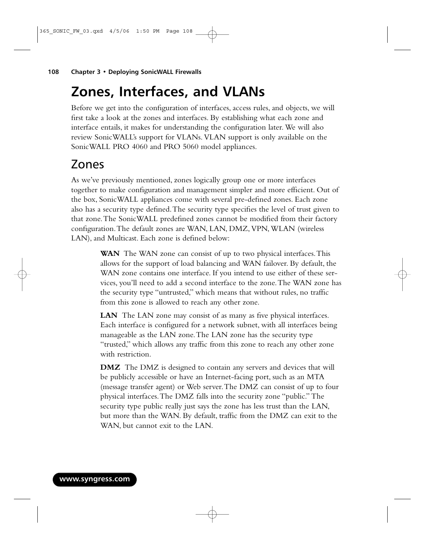# **Zones, Interfaces, and VLANs**

Before we get into the configuration of interfaces, access rules, and objects, we will first take a look at the zones and interfaces. By establishing what each zone and interface entails, it makes for understanding the configuration later. We will also review SonicWALL's support for VLANs. VLAN support is only available on the SonicWALL PRO 4060 and PRO 5060 model appliances.

# Zones

As we've previously mentioned, zones logically group one or more interfaces together to make configuration and management simpler and more efficient. Out of the box, SonicWALL appliances come with several pre-defined zones. Each zone also has a security type defined.The security type specifies the level of trust given to that zone.The SonicWALL predefined zones cannot be modified from their factory configuration.The default zones are WAN, LAN, DMZ, VPN, WLAN (wireless LAN), and Multicast. Each zone is defined below:

> **WAN** The WAN zone can consist of up to two physical interfaces.This allows for the support of load balancing and WAN failover. By default, the WAN zone contains one interface. If you intend to use either of these services, you'll need to add a second interface to the zone.The WAN zone has the security type "untrusted," which means that without rules, no traffic from this zone is allowed to reach any other zone.

**LAN** The LAN zone may consist of as many as five physical interfaces. Each interface is configured for a network subnet, with all interfaces being manageable as the LAN zone.The LAN zone has the security type "trusted," which allows any traffic from this zone to reach any other zone with restriction.

**DMZ** The DMZ is designed to contain any servers and devices that will be publicly accessible or have an Internet-facing port, such as an MTA (message transfer agent) or Web server.The DMZ can consist of up to four physical interfaces.The DMZ falls into the security zone "public." The security type public really just says the zone has less trust than the LAN, but more than the WAN. By default, traffic from the DMZ can exit to the WAN, but cannot exit to the LAN.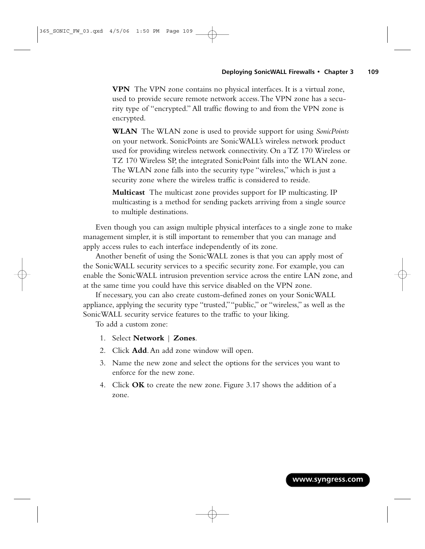**VPN** The VPN zone contains no physical interfaces. It is a virtual zone, used to provide secure remote network access.The VPN zone has a security type of "encrypted." All traffic flowing to and from the VPN zone is encrypted.

**WLAN** The WLAN zone is used to provide support for using *SonicPoints* on your network. SonicPoints are SonicWALL's wireless network product used for providing wireless network connectivity. On a TZ 170 Wireless or TZ 170 Wireless SP, the integrated SonicPoint falls into the WLAN zone. The WLAN zone falls into the security type "wireless," which is just a security zone where the wireless traffic is considered to reside.

**Multicast** The multicast zone provides support for IP multicasting. IP multicasting is a method for sending packets arriving from a single source to multiple destinations.

Even though you can assign multiple physical interfaces to a single zone to make management simpler, it is still important to remember that you can manage and apply access rules to each interface independently of its zone.

Another benefit of using the SonicWALL zones is that you can apply most of the SonicWALL security services to a specific security zone. For example, you can enable the SonicWALL intrusion prevention service across the entire LAN zone, and at the same time you could have this service disabled on the VPN zone.

If necessary, you can also create custom-defined zones on your SonicWALL appliance, applying the security type "trusted,""public," or "wireless," as well as the SonicWALL security service features to the traffic to your liking.

To add a custom zone:

- 1. Select **Network** | **Zones**.
- 2. Click **Add**.An add zone window will open.
- 3. Name the new zone and select the options for the services you want to enforce for the new zone.
- 4. Click **OK** to create the new zone. Figure 3.17 shows the addition of a zone.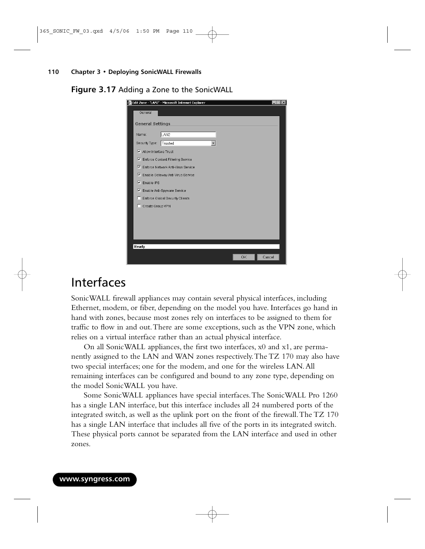**Figure 3.17** Adding a Zone to the SonicWALL

|                                | Edit Zone - 'LAN2' - Microsoft Internet Explorer | $\times$ |
|--------------------------------|--------------------------------------------------|----------|
| General                        |                                                  |          |
| <b>General Settings</b>        |                                                  |          |
| Name:                          | LAN <sub>2</sub>                                 |          |
| Security Type:                 | Trusted                                          |          |
| $\nabla$ Allow Interface Trust |                                                  |          |
| ஈ                              | Enforce Content Filtering Service                |          |
| ⊽                              | Enforce Network Anti-Virus Service               |          |
| ⊽                              | Enable Gateway Anti-Virus Service                |          |
| ⊽<br>Enable IPS                |                                                  |          |
| ⊽                              | Enable Anti-Spyware Service                      |          |
| г                              | <b>Enforce Global Security Clients</b>           |          |
| Create Group VPN               |                                                  |          |
|                                |                                                  |          |
|                                |                                                  |          |
|                                |                                                  |          |
|                                |                                                  |          |
| Ready                          |                                                  |          |
|                                | OK                                               | Cancel   |
|                                |                                                  |          |

### Interfaces

SonicWALL firewall appliances may contain several physical interfaces, including Ethernet, modem, or fiber, depending on the model you have. Interfaces go hand in hand with zones, because most zones rely on interfaces to be assigned to them for traffic to flow in and out.There are some exceptions, such as the VPN zone, which relies on a virtual interface rather than an actual physical interface.

On all SonicWALL appliances, the first two interfaces, x0 and x1, are permanently assigned to the LAN and WAN zones respectively.The TZ 170 may also have two special interfaces; one for the modem, and one for the wireless LAN.All remaining interfaces can be configured and bound to any zone type, depending on the model SonicWALL you have.

Some SonicWALL appliances have special interfaces.The SonicWALL Pro 1260 has a single LAN interface, but this interface includes all 24 numbered ports of the integrated switch, as well as the uplink port on the front of the firewall.The TZ 170 has a single LAN interface that includes all five of the ports in its integrated switch. These physical ports cannot be separated from the LAN interface and used in other zones.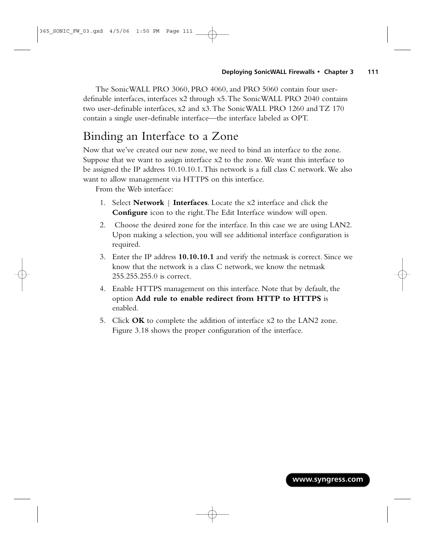The SonicWALL PRO 3060, PRO 4060, and PRO 5060 contain four userdefinable interfaces, interfaces x2 through x5.The SonicWALL PRO 2040 contains two user-definable interfaces, x2 and x3.The SonicWALL PRO 1260 and TZ 170 contain a single user-definable interface—the interface labeled as OPT.

### Binding an Interface to a Zone

Now that we've created our new zone, we need to bind an interface to the zone. Suppose that we want to assign interface x2 to the zone. We want this interface to be assigned the IP address 10.10.10.1.This network is a full class C network. We also want to allow management via HTTPS on this interface.

From the Web interface:

- 1. Select **Network** | **Interfaces**. Locate the x2 interface and click the **Configure** icon to the right.The Edit Interface window will open.
- 2. Choose the desired zone for the interface. In this case we are using LAN2. Upon making a selection, you will see additional interface configuration is required.
- 3. Enter the IP address **10.10.10.1** and verify the netmask is correct. Since we know that the network is a class C network, we know the netmask 255.255.255.0 is correct.
- 4. Enable HTTPS management on this interface. Note that by default, the option **Add rule to enable redirect from HTTP to HTTPS** is enabled.
- 5. Click **OK** to complete the addition of interface x2 to the LAN2 zone. Figure 3.18 shows the proper configuration of the interface.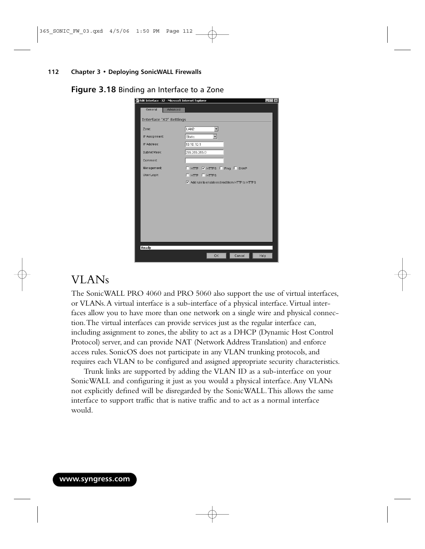**Figure 3.18** Binding an Interface to a Zone

| Edit Interface - X2 - Microsoft Internet Explorer |                                                | $\boldsymbol{\mathsf{x}}$ |
|---------------------------------------------------|------------------------------------------------|---------------------------|
| General<br>Advanced                               |                                                |                           |
| Interface 'X2' Settings                           |                                                |                           |
| Zone:                                             | LAN2<br>▼                                      |                           |
| IP Assignment:                                    | Static                                         |                           |
| IP Address:                                       | 10.10.10.1                                     |                           |
| Subnet Mask:                                      | 255.255.255.0                                  |                           |
| Comment                                           |                                                |                           |
| Management:                                       | FHTTP WHTTPS Fing F SNMP                       |                           |
| User Login:                                       | $I$ HTTP $I$ HTTPS                             |                           |
|                                                   | Add rule to enable redirect from HTTP to HTTPS |                           |
|                                                   |                                                |                           |
|                                                   |                                                |                           |
|                                                   |                                                |                           |
|                                                   |                                                |                           |
|                                                   |                                                |                           |
|                                                   |                                                |                           |
|                                                   |                                                |                           |
|                                                   |                                                |                           |
| Ready                                             |                                                |                           |
|                                                   | OK<br>Cancel<br>Help                           |                           |

### VLANs

The SonicWALL PRO 4060 and PRO 5060 also support the use of virtual interfaces, or VLANs.A virtual interface is a sub-interface of a physical interface.Virtual interfaces allow you to have more than one network on a single wire and physical connection.The virtual interfaces can provide services just as the regular interface can, including assignment to zones, the ability to act as a DHCP (Dynamic Host Control Protocol) server, and can provide NAT (Network Address Translation) and enforce access rules. SonicOS does not participate in any VLAN trunking protocols, and requires each VLAN to be configured and assigned appropriate security characteristics.

Trunk links are supported by adding the VLAN ID as a sub-interface on your SonicWALL and configuring it just as you would a physical interface.Any VLANs not explicitly defined will be disregarded by the SonicWALL.This allows the same interface to support traffic that is native traffic and to act as a normal interface would.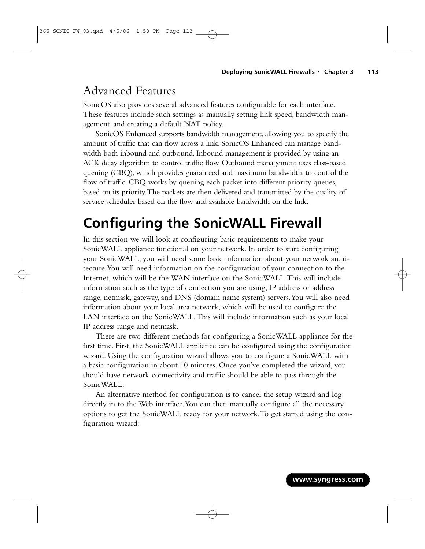### Advanced Features

SonicOS also provides several advanced features configurable for each interface. These features include such settings as manually setting link speed, bandwidth management, and creating a default NAT policy.

SonicOS Enhanced supports bandwidth management, allowing you to specify the amount of traffic that can flow across a link. SonicOS Enhanced can manage bandwidth both inbound and outbound. Inbound management is provided by using an ACK delay algorithm to control traffic flow. Outbound management uses class-based queuing (CBQ), which provides guaranteed and maximum bandwidth, to control the flow of traffic. CBQ works by queuing each packet into different priority queues, based on its priority.The packets are then delivered and transmitted by the quality of service scheduler based on the flow and available bandwidth on the link.

# **Configuring the SonicWALL Firewall**

In this section we will look at configuring basic requirements to make your SonicWALL appliance functional on your network. In order to start configuring your SonicWALL, you will need some basic information about your network architecture.You will need information on the configuration of your connection to the Internet, which will be the WAN interface on the SonicWALL.This will include information such as the type of connection you are using, IP address or address range, netmask, gateway, and DNS (domain name system) servers.You will also need information about your local area network, which will be used to configure the LAN interface on the SonicWALL.This will include information such as your local IP address range and netmask.

There are two different methods for configuring a SonicWALL appliance for the first time. First, the SonicWALL appliance can be configured using the configuration wizard. Using the configuration wizard allows you to configure a SonicWALL with a basic configuration in about 10 minutes. Once you've completed the wizard, you should have network connectivity and traffic should be able to pass through the SonicWALL.

An alternative method for configuration is to cancel the setup wizard and log directly in to the Web interface.You can then manually configure all the necessary options to get the SonicWALL ready for your network.To get started using the configuration wizard: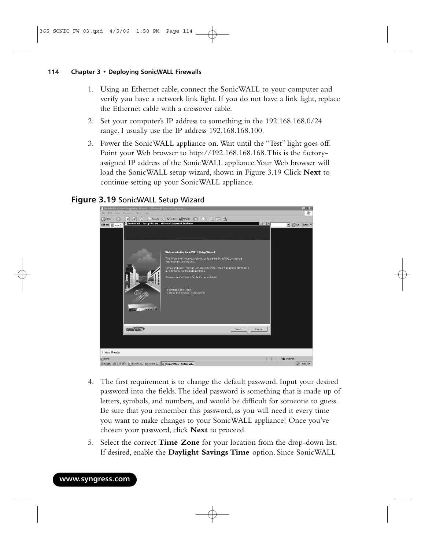- 1. Using an Ethernet cable, connect the SonicWALL to your computer and verify you have a network link light. If you do not have a link light, replace the Ethernet cable with a crossover cable.
- 2. Set your computer's IP address to something in the 192.168.168.0/24 range. I usually use the IP address 192.168.168.100.
- 3. Power the SonicWALL appliance on. Wait until the "Test" light goes off. Point your Web browser to http://192.168.168.168.This is the factoryassigned IP address of the SonicWALL appliance.Your Web browser will load the SonicWALL setup wizard, shown in Figure 3.19 Click **Next** to continue setting up your SonicWALL appliance.

#### **Figure 3.19** SonicWALL Setup Wizard



- 4. The first requirement is to change the default password. Input your desired password into the fields.The ideal password is something that is made up of letters, symbols, and numbers, and would be difficult for someone to guess. Be sure that you remember this password, as you will need it every time you want to make changes to your SonicWALL appliance! Once you've chosen your password, click **Next** to proceed.
- 5. Select the correct **Time Zone** for your location from the drop-down list. If desired, enable the **Daylight Savings Time** option. Since SonicWALL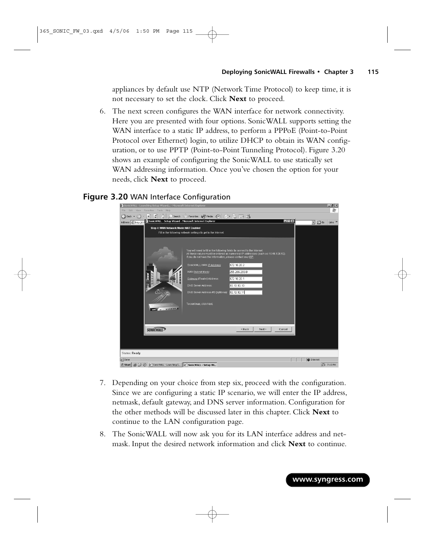appliances by default use NTP (Network Time Protocol) to keep time, it is not necessary to set the clock. Click **Next** to proceed.

6. The next screen configures the WAN interface for network connectivity. Here you are presented with four options. SonicWALL supports setting the WAN interface to a static IP address, to perform a PPPoE (Point-to-Point Protocol over Ethernet) login, to utilize DHCP to obtain its WAN configuration, or to use PPTP (Point-to-Point Tunneling Protocol). Figure 3.20 shows an example of configuring the SonicWALL to use statically set WAN addressing information. Once you've chosen the option for your needs, click **Next** to proceed.

#### **Figure 3.20** WAN Interface Configuration

| 25 SonicWALL - Launching Setup Wizard - Microsoft Internet Explorer                                                                                                                                                                                                                                                                                                             |                                                                           |                                                                                    | $-10$ $\times$                                                                                   |
|---------------------------------------------------------------------------------------------------------------------------------------------------------------------------------------------------------------------------------------------------------------------------------------------------------------------------------------------------------------------------------|---------------------------------------------------------------------------|------------------------------------------------------------------------------------|--------------------------------------------------------------------------------------------------|
| View Favorites Tools Help<br>File<br>Edit                                                                                                                                                                                                                                                                                                                                       |                                                                           |                                                                                    | 脂                                                                                                |
| ß<br>a<br>Search<br>$\mathbf{x}$<br>Back -                                                                                                                                                                                                                                                                                                                                      | <b>Scravorites Childrenia ④ ☆ ミヨる</b>                                     |                                                                                    |                                                                                                  |
| Address   http://1: SonicWALL - Setup Wizard - Microsoft Internet Explorer                                                                                                                                                                                                                                                                                                      |                                                                           |                                                                                    | $\blacksquare$ $\blacksquare$ $\times$<br>$\Box$ Go<br>Links <sup>&gt;&gt;</sup><br>$\mathbf{r}$ |
| Step 4: WAN Network Mode: NAT Enabled                                                                                                                                                                                                                                                                                                                                           |                                                                           |                                                                                    |                                                                                                  |
|                                                                                                                                                                                                                                                                                                                                                                                 | Fill in the following network settings to get to the Internet.            |                                                                                    |                                                                                                  |
|                                                                                                                                                                                                                                                                                                                                                                                 |                                                                           |                                                                                    |                                                                                                  |
|                                                                                                                                                                                                                                                                                                                                                                                 |                                                                           |                                                                                    |                                                                                                  |
|                                                                                                                                                                                                                                                                                                                                                                                 | You will need to fill in the following fields to connect to the Internet. |                                                                                    |                                                                                                  |
|                                                                                                                                                                                                                                                                                                                                                                                 | If you do not have the information, please contact your ISP.              | All these values must be entered as numerical IP addresses (such as 10.50.128.52). |                                                                                                  |
|                                                                                                                                                                                                                                                                                                                                                                                 |                                                                           |                                                                                    |                                                                                                  |
|                                                                                                                                                                                                                                                                                                                                                                                 | SonicWALL WAN IP Address:                                                 | 172.16.20.2                                                                        |                                                                                                  |
|                                                                                                                                                                                                                                                                                                                                                                                 | WAN Subnet Mask:                                                          | 255.255.255.0                                                                      |                                                                                                  |
|                                                                                                                                                                                                                                                                                                                                                                                 | Gateway (Router) Address:                                                 | 172.16.20.1                                                                        |                                                                                                  |
|                                                                                                                                                                                                                                                                                                                                                                                 | DNS Server Address:                                                       | 10.10.10.10                                                                        |                                                                                                  |
|                                                                                                                                                                                                                                                                                                                                                                                 |                                                                           |                                                                                    |                                                                                                  |
|                                                                                                                                                                                                                                                                                                                                                                                 | DNS Server Address #2 (optional):                                         | 10.10.10.11                                                                        |                                                                                                  |
|                                                                                                                                                                                                                                                                                                                                                                                 |                                                                           |                                                                                    |                                                                                                  |
|                                                                                                                                                                                                                                                                                                                                                                                 | To continue, click Next.                                                  |                                                                                    |                                                                                                  |
|                                                                                                                                                                                                                                                                                                                                                                                 |                                                                           |                                                                                    |                                                                                                  |
|                                                                                                                                                                                                                                                                                                                                                                                 |                                                                           |                                                                                    |                                                                                                  |
|                                                                                                                                                                                                                                                                                                                                                                                 |                                                                           |                                                                                    |                                                                                                  |
| <b>SONICWALL</b>                                                                                                                                                                                                                                                                                                                                                                |                                                                           | Next<br>$Back$<br>Cancel                                                           |                                                                                                  |
|                                                                                                                                                                                                                                                                                                                                                                                 |                                                                           |                                                                                    |                                                                                                  |
|                                                                                                                                                                                                                                                                                                                                                                                 |                                                                           |                                                                                    |                                                                                                  |
|                                                                                                                                                                                                                                                                                                                                                                                 |                                                                           |                                                                                    |                                                                                                  |
| <b>Status: Ready</b>                                                                                                                                                                                                                                                                                                                                                            |                                                                           |                                                                                    |                                                                                                  |
| <b>Done</b>                                                                                                                                                                                                                                                                                                                                                                     |                                                                           |                                                                                    | <b>O</b> Internet                                                                                |
| $\left\  \mathbf{G} \right\ _{\text{Lipole}}$ $\left\  \mathbf{G} \right\ _{\text{Lipole}}$ $\left\  \mathbf{G} \right\ _{\text{Lipole}}$ $\left\  \mathbf{G} \right\ _{\text{Lipole}}$ $\left\  \mathbf{G} \right\ _{\text{Lipole}}$ $\left\  \mathbf{G} \right\ _{\text{Lipole}}$ $\left\  \mathbf{G} \right\ _{\text{Lipole}}$ $\left\  \mathbf{G} \right\ _{\text{Lipole}}$ |                                                                           |                                                                                    | $\sqrt{2}$ 7.15 PM                                                                               |

- 7. Depending on your choice from step six, proceed with the configuration. Since we are configuring a static IP scenario, we will enter the IP address, netmask, default gateway, and DNS server information. Configuration for the other methods will be discussed later in this chapter. Click **Next** to continue to the LAN configuration page.
- 8. The SonicWALL will now ask you for its LAN interface address and netmask. Input the desired network information and click **Next** to continue.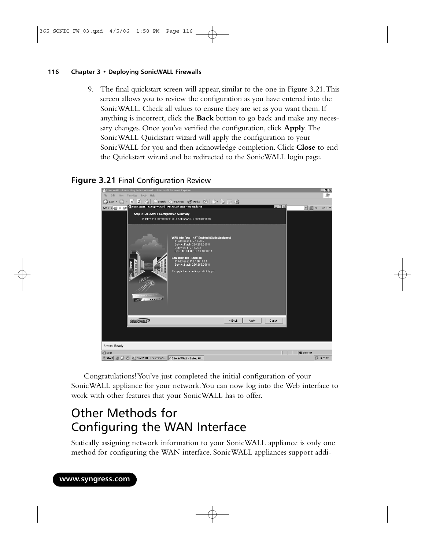#### **116 Chapter 3 • Deploying SonicWALL Firewalls**

9. The final quickstart screen will appear, similar to the one in Figure 3.21.This screen allows you to review the configuration as you have entered into the SonicWALL. Check all values to ensure they are set as you want them. If anything is incorrect, click the **Back** button to go back and make any necessary changes. Once you've verified the configuration, click **Apply**.The SonicWALL Quickstart wizard will apply the configuration to your SonicWALL for you and then acknowledge completion. Click **Close** to end the Quickstart wizard and be redirected to the SonicWALL login page.

#### **Figure 3.21** Final Configuration Review



Congratulations! You've just completed the initial configuration of your SonicWALL appliance for your network.You can now log into the Web interface to work with other features that your SonicWALL has to offer.

# Other Methods for Configuring the WAN Interface

Statically assigning network information to your SonicWALL appliance is only one method for configuring the WAN interface. SonicWALL appliances support addi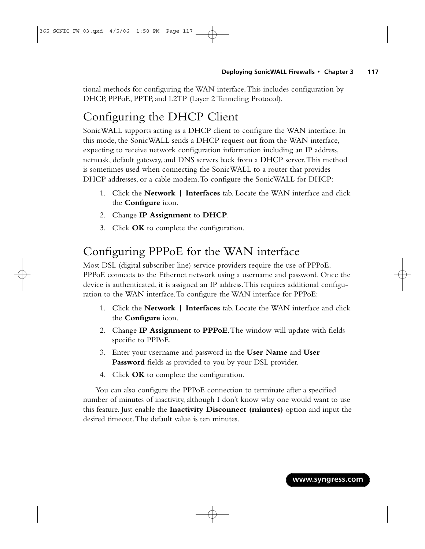tional methods for configuring the WAN interface.This includes configuration by DHCP, PPPoE, PPTP, and L2TP (Layer 2 Tunneling Protocol).

### Configuring the DHCP Client

SonicWALL supports acting as a DHCP client to configure the WAN interface. In this mode, the SonicWALL sends a DHCP request out from the WAN interface, expecting to receive network configuration information including an IP address, netmask, default gateway, and DNS servers back from a DHCP server.This method is sometimes used when connecting the SonicWALL to a router that provides DHCP addresses, or a cable modem.To configure the SonicWALL for DHCP:

- 1. Click the **Network | Interfaces** tab. Locate the WAN interface and click the **Configure** icon.
- 2. Change **IP Assignment** to **DHCP**.
- 3. Click **OK** to complete the configuration.

### Configuring PPPoE for the WAN interface

Most DSL (digital subscriber line) service providers require the use of PPPoE. PPPoE connects to the Ethernet network using a username and password. Once the device is authenticated, it is assigned an IP address.This requires additional configuration to the WAN interface.To configure the WAN interface for PPPoE:

- 1. Click the **Network | Interfaces** tab. Locate the WAN interface and click the **Configure** icon.
- 2. Change **IP Assignment** to **PPPoE**.The window will update with fields specific to PPPoE.
- 3. Enter your username and password in the **User Name** and **User Password** fields as provided to you by your DSL provider.
- 4. Click **OK** to complete the configuration.

You can also configure the PPPoE connection to terminate after a specified number of minutes of inactivity, although I don't know why one would want to use this feature. Just enable the **Inactivity Disconnect (minutes)** option and input the desired timeout.The default value is ten minutes.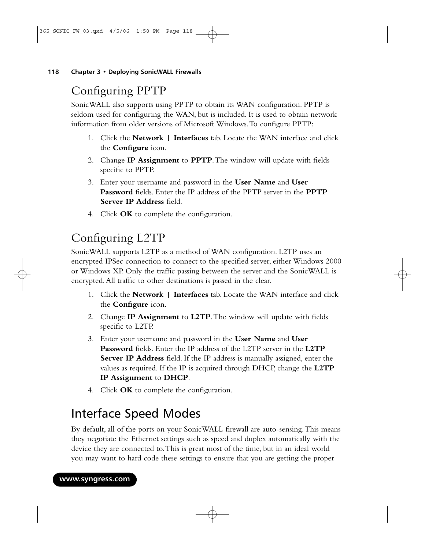### Configuring PPTP

SonicWALL also supports using PPTP to obtain its WAN configuration. PPTP is seldom used for configuring the WAN, but is included. It is used to obtain network information from older versions of Microsoft Windows.To configure PPTP:

- 1. Click the **Network | Interfaces** tab. Locate the WAN interface and click the **Configure** icon.
- 2. Change **IP Assignment** to **PPTP**.The window will update with fields specific to PPTP.
- 3. Enter your username and password in the **User Name** and **User Password** fields. Enter the IP address of the PPTP server in the **PPTP Server IP Address** field.
- 4. Click **OK** to complete the configuration.

# Configuring L2TP

SonicWALL supports L2TP as a method of WAN configuration. L2TP uses an encrypted IPSec connection to connect to the specified server, either Windows 2000 or Windows XP. Only the traffic passing between the server and the SonicWALL is encrypted.All traffic to other destinations is passed in the clear.

- 1. Click the **Network | Interfaces** tab. Locate the WAN interface and click the **Configure** icon.
- 2. Change **IP Assignment** to **L2TP**.The window will update with fields specific to L2TP.
- 3. Enter your username and password in the **User Name** and **User Password** fields. Enter the IP address of the L2TP server in the **L2TP Server IP Address** field. If the IP address is manually assigned, enter the values as required. If the IP is acquired through DHCP, change the **L2TP IP Assignment** to **DHCP**.
- 4. Click **OK** to complete the configuration.

# Interface Speed Modes

By default, all of the ports on your SonicWALL firewall are auto-sensing.This means they negotiate the Ethernet settings such as speed and duplex automatically with the device they are connected to.This is great most of the time, but in an ideal world you may want to hard code these settings to ensure that you are getting the proper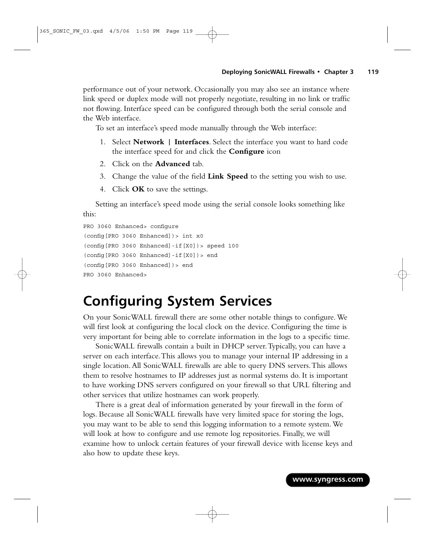performance out of your network. Occasionally you may also see an instance where link speed or duplex mode will not properly negotiate, resulting in no link or traffic not flowing. Interface speed can be configured through both the serial console and the Web interface.

To set an interface's speed mode manually through the Web interface:

- 1. Select **Network | Interfaces**. Select the interface you want to hard code the interface speed for and click the **Configure** icon
- 2. Click on the **Advanced** tab.
- 3. Change the value of the field **Link Speed** to the setting you wish to use.
- 4. Click **OK** to save the settings.

Setting an interface's speed mode using the serial console looks something like this:

```
PRO 3060 Enhanced> configure
(config[PRO 3060 Enhanced])> int x0
(config[PRO 3060 Enhanced]-if[X0])> speed 100
(config[PRO 3060 Enhanced]-if[X0])> end
(config[PRO 3060 Enhanced])> end
PRO 3060 Enhanced>
```
# **Configuring System Services**

On your SonicWALL firewall there are some other notable things to configure. We will first look at configuring the local clock on the device. Configuring the time is very important for being able to correlate information in the logs to a specific time.

SonicWALL firewalls contain a built in DHCP server.Typically, you can have a server on each interface.This allows you to manage your internal IP addressing in a single location.All SonicWALL firewalls are able to query DNS servers.This allows them to resolve hostnames to IP addresses just as normal systems do. It is important to have working DNS servers configured on your firewall so that URL filtering and other services that utilize hostnames can work properly.

There is a great deal of information generated by your firewall in the form of logs. Because all SonicWALL firewalls have very limited space for storing the logs, you may want to be able to send this logging information to a remote system. We will look at how to configure and use remote log repositories. Finally, we will examine how to unlock certain features of your firewall device with license keys and also how to update these keys.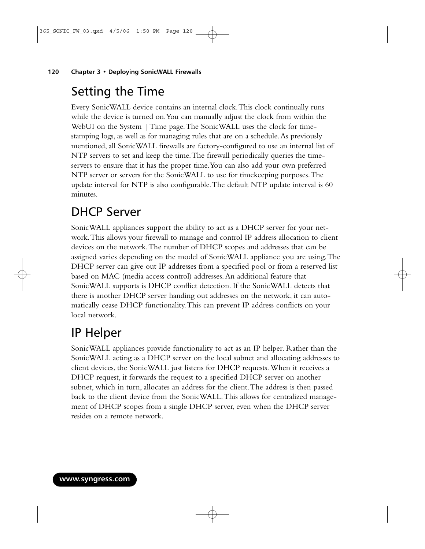# Setting the Time

Every SonicWALL device contains an internal clock.This clock continually runs while the device is turned on.You can manually adjust the clock from within the WebUI on the System | Time page.The SonicWALL uses the clock for timestamping logs, as well as for managing rules that are on a schedule.As previously mentioned, all SonicWALL firewalls are factory-configured to use an internal list of NTP servers to set and keep the time.The firewall periodically queries the timeservers to ensure that it has the proper time.You can also add your own preferred NTP server or servers for the SonicWALL to use for timekeeping purposes.The update interval for NTP is also configurable.The default NTP update interval is 60 minutes.

# DHCP Server

SonicWALL appliances support the ability to act as a DHCP server for your network.This allows your firewall to manage and control IP address allocation to client devices on the network.The number of DHCP scopes and addresses that can be assigned varies depending on the model of SonicWALL appliance you are using.The DHCP server can give out IP addresses from a specified pool or from a reserved list based on MAC (media access control) addresses.An additional feature that SonicWALL supports is DHCP conflict detection. If the SonicWALL detects that there is another DHCP server handing out addresses on the network, it can automatically cease DHCP functionality.This can prevent IP address conflicts on your local network.

# IP Helper

SonicWALL appliances provide functionality to act as an IP helper. Rather than the SonicWALL acting as a DHCP server on the local subnet and allocating addresses to client devices, the SonicWALL just listens for DHCP requests. When it receives a DHCP request, it forwards the request to a specified DHCP server on another subnet, which in turn, allocates an address for the client.The address is then passed back to the client device from the SonicWALL.This allows for centralized management of DHCP scopes from a single DHCP server, even when the DHCP server resides on a remote network.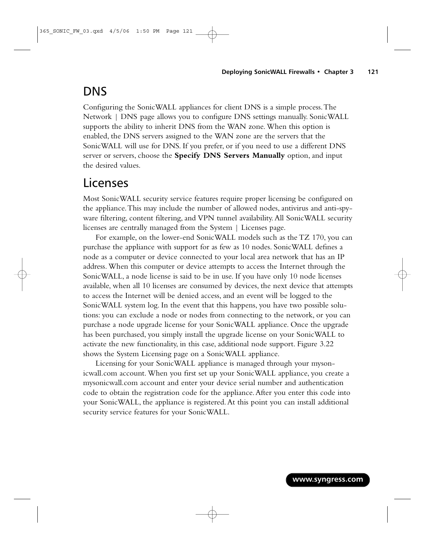# DNS

Configuring the SonicWALL appliances for client DNS is a simple process.The Network | DNS page allows you to configure DNS settings manually. SonicWALL supports the ability to inherit DNS from the WAN zone. When this option is enabled, the DNS servers assigned to the WAN zone are the servers that the SonicWALL will use for DNS. If you prefer, or if you need to use a different DNS server or servers, choose the **Specify DNS Servers Manually** option, and input the desired values.

# Licenses

Most SonicWALL security service features require proper licensing be configured on the appliance.This may include the number of allowed nodes, antivirus and anti-spyware filtering, content filtering, and VPN tunnel availability.All SonicWALL security licenses are centrally managed from the System | Licenses page.

For example, on the lower-end SonicWALL models such as the TZ 170, you can purchase the appliance with support for as few as 10 nodes. SonicWALL defines a node as a computer or device connected to your local area network that has an IP address. When this computer or device attempts to access the Internet through the SonicWALL, a node license is said to be in use. If you have only 10 node licenses available, when all 10 licenses are consumed by devices, the next device that attempts to access the Internet will be denied access, and an event will be logged to the SonicWALL system log. In the event that this happens, you have two possible solutions: you can exclude a node or nodes from connecting to the network, or you can purchase a node upgrade license for your SonicWALL appliance. Once the upgrade has been purchased, you simply install the upgrade license on your SonicWALL to activate the new functionality, in this case, additional node support. Figure 3.22 shows the System Licensing page on a SonicWALL appliance.

Licensing for your SonicWALL appliance is managed through your mysonicwall.com account. When you first set up your SonicWALL appliance, you create a mysonicwall.com account and enter your device serial number and authentication code to obtain the registration code for the appliance.After you enter this code into your SonicWALL, the appliance is registered.At this point you can install additional security service features for your SonicWALL.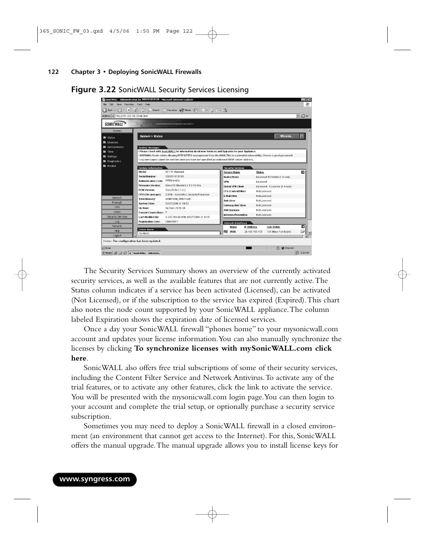| Address (8) http://192.168.168.1/main.html |                                |                                                                                                                                |                             |                                        |                       |
|--------------------------------------------|--------------------------------|--------------------------------------------------------------------------------------------------------------------------------|-----------------------------|----------------------------------------|-----------------------|
|                                            |                                |                                                                                                                                |                             |                                        | $\Rightarrow$ Go<br>▼ |
| <b>SONICWALL</b>                           |                                | <b>COMPREHENSIVE INTERNET SECURITY®</b>                                                                                        |                             |                                        |                       |
| System                                     |                                |                                                                                                                                |                             |                                        |                       |
| Status                                     | <b>System &gt; Status</b>      |                                                                                                                                |                             | Wizards                                |                       |
| <b>R</b> Licenses                          |                                |                                                                                                                                |                             |                                        |                       |
| <b>R</b> Administration                    |                                |                                                                                                                                |                             |                                        |                       |
| <b>for</b> Time                            | <b>System Messages</b>         | Please check with SonicWALL for information about new Services and Upgrades for your Appliance.                                |                             |                                        |                       |
| <b>E Settings</b>                          |                                | WARNING: A rule exists allowing HTTP/HTTPS management from the WAN. This is a potential vulnerability. Choose a good password. |                             |                                        |                       |
|                                            |                                | Log messages cannot be sent because you have not specified an outbound SMTP server address.                                    |                             |                                        |                       |
| <b>But</b> Diagnostics                     |                                |                                                                                                                                |                             |                                        |                       |
| <b>图 Restart</b>                           | <b>System Information</b>      |                                                                                                                                | <b>Security Services</b>    |                                        |                       |
|                                            | Model:                         | TZ 170 Standard                                                                                                                | <b>Service Name</b>         | <b>Status</b>                          | Ð                     |
|                                            | <b>Serial Number:</b>          | 0006B10CB188                                                                                                                   | <b>Nodes/Users</b>          | Licensed 10 Nodes (1 in use)           |                       |
|                                            | Authentication Code: PRT6-H4SN |                                                                                                                                | <b>VPN</b>                  | Licensed                               |                       |
|                                            | <b>Firmware Version:</b>       | SonicOS Standard 3 1.0.15-95s                                                                                                  | <b>Global VPN Client</b>    | Licensed - 1 License (0 in use)        |                       |
|                                            | <b>ROM Version:</b>            | SonicROM 3.1.0.2                                                                                                               | <b>CFS (Content Filter)</b> | Not Licensed                           |                       |
|                                            | CPU (10s average):             | 2.50% - SonicWALL Security Processor                                                                                           | E-Mail Filter               | Not Licensed                           |                       |
| Network                                    | <b>Total Memory:</b>           | 64MB RAM, 8MB Flash                                                                                                            | <b>Anti-Virus</b>           | Not Licensed                           |                       |
| Firewall                                   | <b>System Time:</b>            | 02/27/2006 21:18:52                                                                                                            | <b>Gateway Anti-Virus</b>   | Not Licensed                           |                       |
| VPN                                        | <b>Up Time:</b>                | 14 Days 23:50:28                                                                                                               | Anti-Spyware                | Not Licensed                           |                       |
| <b>Users</b>                               | <b>Current Connections: 7</b>  |                                                                                                                                | <b>Intrusion Prevention</b> | Not Licensed                           |                       |
| Security Services                          | Last Modified By:              | 4.230.216.86 WAN 02/27/2006 21:14:51                                                                                           |                             |                                        |                       |
| Loq                                        | <b>Registration Code:</b>      | GM6X56FY                                                                                                                       | <b>Network Interfaces</b>   |                                        |                       |
| Wizards                                    |                                |                                                                                                                                | <b>IP Address</b><br>Name   | <b>Link Status</b>                     | Ð                     |
|                                            | <b>Latest Alerts</b>           |                                                                                                                                | پيدا<br><b>WAN</b>          | 24.168.168.153<br>100 Mbps Full-duplex | o                     |
| Help                                       | No Alerts                      |                                                                                                                                |                             |                                        |                       |

**Figure 3.22** SonicWALL Security Services Licensing

The Security Services Summary shows an overview of the currently activated security services, as well as the available features that are not currently active.The Status column indicates if a service has been activated (Licensed), can be activated (Not Licensed), or if the subscription to the service has expired (Expired).This chart also notes the node count supported by your SonicWALL appliance.The column labeled Expiration shows the expiration date of licensed services.

Once a day your SonicWALL firewall "phones home" to your mysonicwall.com account and updates your license information.You can also manually synchronize the licenses by clicking **To synchronize licenses with mySonicWALL.com click here**.

SonicWALL also offers free trial subscriptions of some of their security services, including the Content Filter Service and Network Antivirus.To activate any of the trial features, or to activate any other features, click the link to activate the service. You will be presented with the mysonicwall.com login page.You can then login to your account and complete the trial setup, or optionally purchase a security service subscription.

Sometimes you may need to deploy a SonicWALL firewall in a closed environment (an environment that cannot get access to the Internet). For this, SonicWALL offers the manual upgrade.The manual upgrade allows you to install license keys for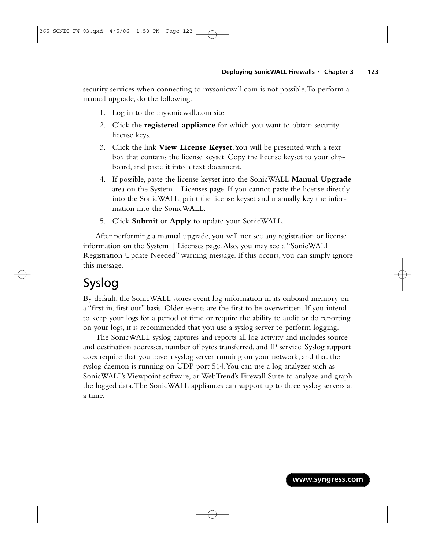security services when connecting to mysonicwall.com is not possible.To perform a manual upgrade, do the following:

- 1. Log in to the mysonicwall.com site.
- 2. Click the **registered appliance** for which you want to obtain security license keys.
- 3. Click the link **View License Keyset**.You will be presented with a text box that contains the license keyset. Copy the license keyset to your clipboard, and paste it into a text document.
- 4. If possible, paste the license keyset into the SonicWALL **Manual Upgrade** area on the System | Licenses page. If you cannot paste the license directly into the SonicWALL, print the license keyset and manually key the information into the SonicWALL.
- 5. Click **Submit** or **Apply** to update your SonicWALL.

After performing a manual upgrade, you will not see any registration or license information on the System | Licenses page.Also, you may see a "SonicWALL Registration Update Needed" warning message. If this occurs, you can simply ignore this message.

# Syslog

By default, the SonicWALL stores event log information in its onboard memory on a "first in, first out" basis. Older events are the first to be overwritten. If you intend to keep your logs for a period of time or require the ability to audit or do reporting on your logs, it is recommended that you use a syslog server to perform logging.

The SonicWALL syslog captures and reports all log activity and includes source and destination addresses, number of bytes transferred, and IP service. Syslog support does require that you have a syslog server running on your network, and that the syslog daemon is running on UDP port 514.You can use a log analyzer such as SonicWALL's Viewpoint software, or WebTrend's Firewall Suite to analyze and graph the logged data.The SonicWALL appliances can support up to three syslog servers at a time.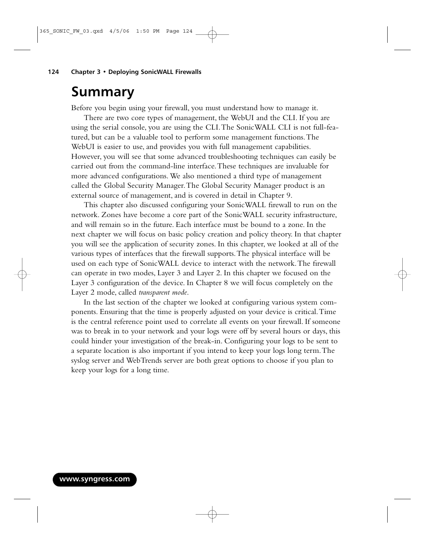### **Summary**

Before you begin using your firewall, you must understand how to manage it.

There are two core types of management, the WebUI and the CLI. If you are using the serial console, you are using the CLI.The SonicWALL CLI is not full-featured, but can be a valuable tool to perform some management functions.The WebUI is easier to use, and provides you with full management capabilities. However, you will see that some advanced troubleshooting techniques can easily be carried out from the command-line interface.These techniques are invaluable for more advanced configurations. We also mentioned a third type of management called the Global Security Manager.The Global Security Manager product is an external source of management, and is covered in detail in Chapter 9.

This chapter also discussed configuring your SonicWALL firewall to run on the network. Zones have become a core part of the SonicWALL security infrastructure, and will remain so in the future. Each interface must be bound to a zone. In the next chapter we will focus on basic policy creation and policy theory. In that chapter you will see the application of security zones. In this chapter, we looked at all of the various types of interfaces that the firewall supports.The physical interface will be used on each type of SonicWALL device to interact with the network.The firewall can operate in two modes, Layer 3 and Layer 2. In this chapter we focused on the Layer 3 configuration of the device. In Chapter 8 we will focus completely on the Layer 2 mode, called *transparent mode*.

In the last section of the chapter we looked at configuring various system components. Ensuring that the time is properly adjusted on your device is critical.Time is the central reference point used to correlate all events on your firewall. If someone was to break in to your network and your logs were off by several hours or days, this could hinder your investigation of the break-in. Configuring your logs to be sent to a separate location is also important if you intend to keep your logs long term.The syslog server and WebTrends server are both great options to choose if you plan to keep your logs for a long time.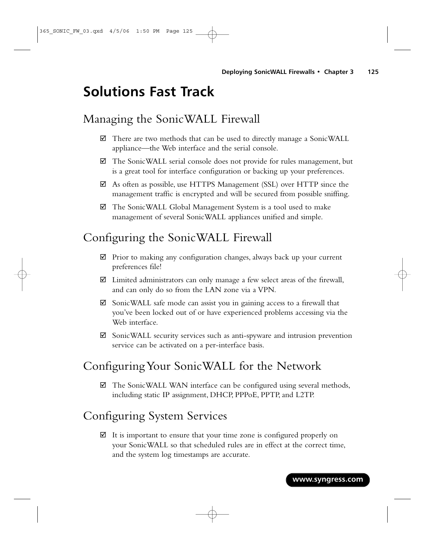# **Solutions Fast Track**

### Managing the SonicWALL Firewall

- $\boxtimes$  There are two methods that can be used to directly manage a SonicWALL appliance—the Web interface and the serial console.
- $\boxtimes$  The SonicWALL serial console does not provide for rules management, but is a great tool for interface configuration or backing up your preferences.
- As often as possible, use HTTPS Management (SSL) over HTTP since the management traffic is encrypted and will be secured from possible sniffing.
- ⊠ The SonicWALL Global Management System is a tool used to make management of several SonicWALL appliances unified and simple.

### Configuring the SonicWALL Firewall

- $\boxtimes$  Prior to making any configuration changes, always back up your current preferences file!
- $\boxtimes$  Limited administrators can only manage a few select areas of the firewall, and can only do so from the LAN zone via a VPN.
- SonicWALL safe mode can assist you in gaining access to a firewall that you've been locked out of or have experienced problems accessing via the Web interface.
- $\boxtimes$  SonicWALL security services such as anti-spyware and intrusion prevention service can be activated on a per-interface basis.

### Configuring Your SonicWALL for the Network

⊠ The SonicWALL WAN interface can be configured using several methods, including static IP assignment, DHCP, PPPoE, PPTP, and L2TP.

### Configuring System Services

 $\boxtimes$  It is important to ensure that your time zone is configured properly on your SonicWALL so that scheduled rules are in effect at the correct time, and the system log timestamps are accurate.